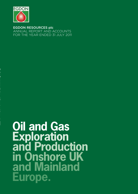

EGdon Resources plc Annual Report and Accounts for the year ended 31 July 2011

**Oil and Gas Exploration and Production in Onshore UK and Mainland Europe.**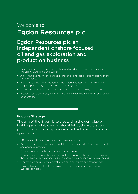# Welcome to Egdon Resources plc

# Egdon Resources plc an independent onshore focused oil and gas exploration and production business

- An established oil and gas exploration and production company focused on onshore UK and mainland Europe
- A growing business with licences in proven oil and gas producing basins in the UK and France
- A balanced portfolio of production, development, appraisal and exploration projects positioning the Company for future growth
- A proven operator with an experienced and respected management team
- A strong focus on safety, environmental and social responsibility in all aspects of operations

# Egdon's Strategy

The aim of the Group is to create shareholder value by building a profitable and material full cycle exploration, production and energy business with a focus on onshore operations

The Company will look to increase shareholder value by:

- Growing near-term revenues through investment in production, development and appraisal projects
- A focus on fewer, higher impact exploration opportunities
- Broadening and strengthening the asset and opportunity base of the Group through licence applications, targeted acquisitions and innovative deal making
- Proactively managing the portfolio to maximise returns and manage risk
- Looking to extract shareholder value from emerging non-conventional hydrocarbon plays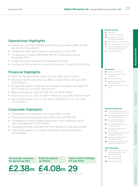# Operational Highlights

- Production up 73% to 46,919 barrels of oil equivalent (2010: 27,056 barrels of oil equivalent).
- Kirkleatham gas field brought on production in April 2011
- Oil discovery made at Markwells Wood-1 to be tested during November 2011
- Drilled successful sidetrack at Keddington oil field
- Portfolio of 29 licences in UK and France as at 31 July 2011 (2010: 34)

# Financial Highlights

- Profit for the year £4.08 million (31 July 2010: £0.24 million).
- Revenues during the period up 90% to £2.38 million (31 July 2010: £1.25 million)
- Exceptional profit on disposal of subsidiary company and assets of £4.3 million (31 July 2010: £0.4 million)
- Basic earnings per share of 3.12p (31 July 2010: 0.29p)
- Equity as at 31 July 2011 of £20.17 million (31 July 2010: £16.03 million)
- Net current assets as at 31 July 2011 of £3.28 million (31 July 2010: £1.49 million)

# Corporate Highlights

- Completed the acquisition of EnCore (E&P) Limited
- Farmed-out shale gas test well in PEDL139 and PEDL140
- Completed the sale of Egdon Resources (New Ventures) Ltd for cash consideration of £4.5 million
- Acquired PEDL180 and PEDL181 from Valhalla Oil and Gas Limited
- Sold a 10% interest in Avington oil field for cash consideration of £400,000

Oil and Gas revenues for period up 90%



Profit for period up 1600%

Total Licence holdings (31 July 2011)



#### **Business Review**

- **01** Highlights
- **02** Chairman's Review **04** Managing Director's
- Operational Review
- **07** UK Licences in Summary
- **10** French Licences in Summary **11** Oil and Gas Reserves and
- Resources Estimates
- **12** Financial Review

### **Governance**

- **16** Board of Directors
- **17** Corporate Governance Statement
- **19** Directors' Report
- 21 Statement of Directors' Responsibilities
- **22** Independent Auditor's Report

inancial Statements

证

### **Financial Statements**

- **23** Consolidated Statement of Comprehensive Income
- **24** Consolidated Statement of Financial Position
- **25** Company Statement of Financial Position
- **26** Consolidated Statement of Cash Flows
- **27** Company Statement of Cash Flows
- **28** Consolidated Statement of Changes in Equity
- **28** Company Statement of Changes in Equity
- **29** Notes Forming Part of the Financial Statements

## **AGM Information**

- **55** Letter from the Chairman with Notice of Annual General Meeting
- **57** Notice of Annual General Meeting
- **ibc** Licence Holdings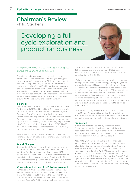Chairman's Review Philip Stephens

# Developing a full cycle exploration and production business.



# I am pleased to be able to report good progress during the year ended 31 July 2011.

Despite frustrations caused by delays in the start of production at the Kirkleatham and Ceres gas fields, year on year production has grown by 73%. Net production at the end of the period (July 2011) was 420 barrels of oil equivalent per day ("boepd") with Keddington, Avington and Kirkleatham on production. Subsequent to the year end, production has resumed at Ceres. However, with the expected reduced production at Keddington and Kirkleatham as detailed below we now expect average production of around 400 boepd during the current financial year.

### Financial

The Company recorded a profit after tax of £4.08 million for the period (2010: £0.24 million). This includes a profit on disposal of £4.3 million related to the sale of Egdon Resources (New Ventures) Ltd which held some of our French assets and exploration write-downs of £0.89 million. Revenue from oil and gas production during the year was up 90% to £2.38 million (2010: £1.25 million) on production of 46,919 barrels of oil equivalent ("boe") (2010: 27,056 boe). In line with last year the Directors do not currently recommend the payment of a dividend.

Further details of the financial results are given in the Financial Review on page 12 and Financial Statements and notes pages 23 to 54.

### Board Changes

Co-founder of Egdon, Andrew Hindle, stepped down from the Board during the year and I would like to record our gratitude for his significant contribution since 1997. I can also advise that John Rix has informed the Board that he intends to retire as a non-executive Director with effect from the forthcoming AGM and I would again like to record my appreciation for his contribution to the Company.

### Corporate Activity and Portfolio Management

In October 2010 we completed the sale of some of our French interests for £4.5 million in cash to eCORP Oil and Gas UK Limited ("eCORP") and in the same month we completed the acquisition of EnCore (E&P) Limited (now renamed Egdon (E&P) Limited) which holds two permits

in France for a cash consideration of £100,000. In July 2011 we agreed the sale of a combined 10% interest in PEDL070 which contains the Avington oil field, for a cash consideration of £400,000.

We have continued to rationalise and develop our licence holdings as part of our wider strategy. During the year we relinquished seven UK licences as they did not meet our technical and commercial thresholds or had come to the end of their current terms. During June 2011 we completed the acquisition and normalisation of interests in two East Midlands licences from Valhalla Oil and Gas UK Limited, assuming operatorship of one of them. We have also farmed-out interests in the Gainsborough Trough to eCORP and we expect a shale-gas exploration well to be drilled there during 2012.

As at 31 July 2011 Egdon holds interests in 29 licences in the UK and France and is awaiting the award of two further licences in the UK and one in France, including one containing a potentially significant near-shore gas discovery.

### Production

In spite of disruptions caused by the severe winter in December, production shutdowns due to drilling at Keddington and the delays in production at Kirkleatham and Ceres, we achieved a 73% increase in production volumes peaking in July 2011 at 420 boepd.

Keddington, which we originally purchased for just £250,000 continues to perform well. The field produces oil and significant quantities of associated gas from two wells, Keddington-3Z and Keddington-4, which was successfully drilled during April 2011. A decision has been made to constrain overall field production in the shortterm to around 125–135 barrels of oil per day ("bopd") (Net Egdon c. 100 bopd) to conserve the significant volumes of associated gas which is currently being flared until a longer term commercial solution can be found to enable electricity generation or gas export.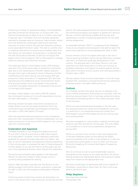Following a number of operational delays, the Kirkleatham gas field achieved first production on 19 April 2011. The well has produced gas at rates of up to 5 million cubic feet of gas per day ("mmcfg/d") but this has been gradually reduced to manage reservoir pressure, match power output from the Sembcorp owned gas turbine and maximise recovery. In recent months the well has started to produce some associated formation water. The well is currently shutin awaiting intervention to remove accumulated water from the tubing. On resumption of production it is planned that the well will produce between 1.5 and 2.0 mmcfg/d (Net Egdon 0.6 to 0.8 mmcfg/d or 100 to 133 boepd) to manage reservoir pressure and maximise recovery.

The Ceres gas field (in which Egdon holds a 10% interest) was shut-in for all but seven days of production during the year due to the maintenance of the BP Cleeton platform through which gas is delivered to shore. Following a further maintenance shut-down during July and August 2011 gas production finally resumed on 17 September 2011. We have experienced some additional issues and production downtime during October which now appear to be resolved. Long-term net Egdon production is expected to be around 1.2 mmcfg/d (200 boepd).

Avington, where Egdon now holds a 26.67% interest, has continued to produce in line with expectations during the year (Net Egdon c. 20 bopd).

Planning consent has been received for production at Dukes Wood-1 and we anticipate production from the combined Dukes Wood/Eakring/Kirklington production unit early in 2012 (Net Egdon 25 bopd).

With the expected reduced production from Kirkleatham and short-term scaling back of flows at Keddington we now expect production to be around 400 boped for the coming year from existing fields.

### Exploration and Appraisal

The Best Estimate of our Prospective Resources as at 31 July 2011 in the UK and France is 248 million barrels of oil equivalent ("mmboe") which highlights significant potential for growth through exploration for Egdon. We plan an active exploration and appraisal drilling programme in the coming years to evaluate the best of these prospects. Further details of our UK and French drilling plans are set out in the Operational Review which follows this statement.

During the period Egdon participated in the Markwells Wood-1 oil discovery drilled in West Sussex which is currently being prepared for testing.

Seismic data has been acquired over the Burton on the Wolds prospect and further seismic acquisition is planned for later in 2011 over the prospective Broughton-Wressle trend.

Following award of planning consent we anticipate a reentry of the Nooks Farm-1 gas discovery during the coming

period. We were disappointed by the refusal of planning for the Holmwood prospect and expect to appeal this decision. We are currently identifying suitable drilling sites and developing a number of planning applications for the 2012 drilling programme.

An extended well test ("EWT") is underway at the Waddock Cross oil accumulation and we expect to be able to report the results and a decision on future development early in 2012.

France remains a focus for Egdon although a new law in France banning hydraulic fracturing has effectively curtailed near-term oil-shale and shale-gas development in the country. The planned well in the Mairy Permit is not now expected until 2012. Elsewhere in France we continue to progress exploration and expect to acquire seismic during early 2012 in Pontenx and St Laurent with drilling possible in Pontenx late in 2012.

We also expect to be an active participant in the UK's long awaited 14th Landward Licensing Round and are awaiting a potential award in the 26th Offshore Round.

### Outlook

Our strategy remains the same. We aim to develop a full cycle onshore exploration and production business, with the growing revenue stream from oil and gas production being reinvested to facilitate growth in the underlying asset value of the business.

Whilst we have achieved good progress in the last year, the reduced production levels from Kirkleatham will result in a reduction in our expected production target from 500 boepd to around 400 boepd during the coming year from existing fields.

We have managed our cash position carefully and forecast positive cash flow during the coming year. This will enable us to embark on a more active exploration programme during 2012.

Whilst our primary focus will be a multi-well programme in the East Midlands where we are testing net Egdon resource potential of 15 mmbo in five prospects, in total we are planning to participate in up to 12 wells over the next 18 months targeting 33 mmboe (Net Egdon Prospective Resources).

We will continue to look to build shareholder value by strengthening the quality of our asset portfolio, the active drilling programme highlighted above and looking to realise value from assets at the appropriate time.

We have a small team of dedicated staff and on behalf of the Board I would like to thank them for their continuing efforts during the year.

### Philip Stephens

Non-Executive Chairman 4 November 2011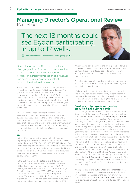# Managing Director's Operational Review Mark Abbott

# The next 18 months could see Egdon participating in up to 12 wells.



For a summary of the Group's licences please go to **page 7**  $\rightarrow$ 

During the period the Group has maintained a clear geographical focus on onshore operations in the UK and France and made further progress in increasing production and revenues and developing our near-term exploration opportunities to drive future growth.

A key objective for the past year has been getting the Kirkleatham and Ceres gas fields into production. First gas at Kirkleatham was achieved in April 2011 and Ceres returned to production in September 2011. Both projects were subject to delays in start-up which has had a significant impact on Egdon's production for the period. However, we were still able to report a 73% year on year production increase and during July 2011 we produced 420 boepd.

The last year has seen significant changes to our asset portfolio including the sale of one of our French subsidiaries, acquisitions in the UK and France and UK relinquishments with Egdon now holding interests in a total of 29 licences and awaiting the award of three further licences, including one in the UK 26th Offshore licensing round containing a potentially significant near-shore gas discovery.

### UK

In the UK, as part of a strategy of rationalising and improving our portfolio we have relinquished seven licences during the year (PEDLs 069, 071, 098, 138, 142, 144 and 154), whilst acquiring two new licence interests via the acquisition of PEDLs 180 and 181 from Valhalla. This has resulted in an overall reduction in Best Estimate Prospective Resources from 288 million barrels of oil equivalent (mmboe) in 2010 to 248 mmboe in 2011.

In the last year we participated in the drilling of an oil discovery at Markwells Wood-1 a successful sidetrack at Keddington and two coal bed methane ("CBM") investigation wells which maintained our Gainsborough Trough shale gas licences (PEDLs 139 and 140) where a deep well is planned for late 2012 with Egdon's costs carried. The non-operated Nooks Farm re-entry and Havant exploration wells which had been anticipated during the period are delayed and are now expected during 2012.

We anticipate participating in the drilling of up to 12 wells in the UK in the next 18 months targeting net Egdon Best Estimate Prospective Resources of 33 mmboe, as our activity levels ramp-up on the back of the anticipated increased revenues.

There have been continuing delays to the announcement of the UK 14th Landward Licensing Round where Egdon expects to be a participant.

Whilst we will continue to be active across our portfolio and the key activity and prospectivity of each licence is summarised on pages 7 to 9, the Group will have two main focuses of activity in the UK during the next 18 months; oil in the East Midlands and gas in North East England.

## Developing oil prospects and growing production in the East Midlands

The Keddington-4 well, drilled in April 2011, encountered 120 metres of the main Unit 1 reservoir and had stabilised production of around 75 bopd. The Keddington Oil Field produces dry oil and associated gas from two wells (Keddington-4 and Keddington-3Z). We have recently taken a decision to limit near-term production at Keddington to 125 to 135 bopd (Net Egdon c. 100 bopd) to reduce the associated flared gas volumes until we have electricity generating capacity in place. The key issue being addressed is the cost and location of the connection to the local electricity grid. We hope to finalise these plans to add a new income stream and enable a return to higher oil production. The results of the Keddington-4 well are being integrated into a field model to determine the ultimate field reserves and forward development plan with additional drilling being considered. We currently carry 0.3 million barrels of oil ("mmbo") of Proven and Probable Reserves along with around 0.7 billion cubic feet ("bcf") of gas. Elsewhere in this licence the North Somercotes Prospect to the north of the Saltfleetby Gas Field is mapped from 3D seismic data as containing Net Egdon Best Estimate Prospective Resources of 7.26 bcf of gas.

We expect to put the Dukes Wood and Kirklington wells back in production in 2012 and are evaluating additional drilling locations in areas of the field not previously produced including the Eakring North Lead. We anticipate initial combined production of around 40 bopd (Net Egdon 25 bopd).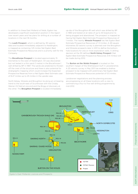In addition to these East Midland oil fields, Egdon has developed a significant exploration position in the region over recent years and has plans for drilling at a number of locations in the next 18 months.

The Louth Prospect, which is defined by 3D seismic data and located immediately adjacent to Keddington, is mapped as containing 1.25 mmbo Net Egdon Best Estimate Prospective Resources and is a priority well for the Company.

The **Biscathorpe Prospect** is located approximately 15 kilometres to the west of Keddington. Oil was discovered but not tested in a thin sand (1 metre) in the Biscathorpe-1 well drilled by BP in 1987. The sands are predicted to thicken off the crest of the structure and there is also potential for stratigraphic trapping which could increase the Expected Prospective Reserves from a Net Egdon Best Estimate case of 8.47 mmbo up to 25 mmbo in the upside case.

North Kelsey, Wressle and Broughton lie along an oil bearing trend to the south-east of Scunthorpe with the Crosby Warren Oil field at one end and the Brigg oil discovery at the other. The **Broughton Prospect** is located immediately

up-dip of the Broughton-B1 well which was drilled by BP in 1984 and tested oil at rates of up to 40 bopd prior to being plugged and abandoned. The prospect is mapped as having Net Egdon Best Estimate Prospective Resources of 1 mmbo. The nearby Wressle Prospect has Net Egdon Best Estimate Prospective Resources of 1.3 mmbo. A 49 square kilometres 3D seismic survey is planned over the Broughton and Wressle prospects later in 2011 to define the bottomhole locations for one or more exploration wells. A drilling decision at the 3D defined North Kelsey Prospect (Net Egdon Best Estimate Prospective Resources 3.14 mmbo) will be made during 2012.

The Burton on the Wolds Prospect is located on the southern margin of the Widmerpool Gulf in Leicestershire. A 2D seismic survey in May 2011 has enabled a shallow prospect to be mapped with preliminary Net Egdon Best Estimate Prospective Resources potential of 0.5 mmbo.

Landowner negotiations and the planning process are progressing on all these locations with a view to commencing a four to five well drilling programme by mid-2012.

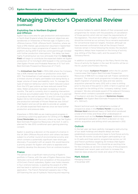# Managing Director's Operational Review (continued)

### Exploiting Gas in Northern England and Offshore

Egdon has a core area for gas production and exploration in North-East England where the reservoir objectives are sandstones or limestones of Permian age. In Egdon's only offshore licence, P.1241, offshore North Yorkshire, where we have a 10% interest, gas production resumed in September 2011 following a major programme of repairs to a BP platform during 2010-11 and has continued through October with further production interruptions. This delay has been highly frustrating but we now anticipate that the Ceres Gas Field will begin to contribute the expected stable net Egdon production of 1.2 mmcfg/d (200 boepd) in the coming year (Net Egdon Proven and Probable Reserves of 3.7 bcf with Best Estimate Prospective Resources of 1.7 bcf).

The Kirkleatham Gas Field in PEDL068 where the Company has a 40% interest has been on production since April 2011. The Kirkleatham-4 well appears to be connected to a limited volume of highly permeable rock being fed by a larger volume of lower permeability rock. To manage this type of reservoir behaviour and to match reduced output from the GT2 gas turbine we have reduced overall flow rates. Water production has been increasing in recent months. The well is currently shut-in awaiting intervention to remove accumulated water from the tubing. It is planned to produce the well at between 1.5 and 2.0 mmcfg/d (Net Egdon 0.6 to 0.8 mmcfg/d or 100 to 133 boepd). Our pre-production estimate of Proven Reserves was 0.8 bcf (Net Egdon) and we will be able to provide an update on ultimate expected field reserves once we have further production and pressure data.

Elsewhere in PEDL068 we are making good progress in submitting a planning application for drilling of the Ralph Cross/Westerdale gas discovery where we map Net Egdon Best Estimate Prospective Resources of 6.2 bcf. A well is planned for late 2012 conditional upon gaining planning consent.

Egdon is awaiting a decision on the award of a licence in the UK 26th Offshore Round which with others has been subject to a further round of environmental scrutiny and which contains a potentially significant near-shore gas discovery. If successful with an award, this would become a priority project for Egdon with plans to appraise and hopefully develop the discovery from an onshore location.

### France

The period saw a significant restructuring of Egdon's portfolio in France, with the sale of Egdon Resources (New Ventures) Ltd to eCORP and completion of the acquisition of EnCore's French subsidiary. Egdon now holds interests in four onshore licences, is awaiting the award of a fifth and has back-in options on two permits and a pending application. The French Parliament passed a law in May 2011 banning the use of hydraulic fracturing and requiring

all licence holders to submit details of their proposed work programmes for review with the possibility of cancellation of those permits which did not meet the requirements of the legislation. The short-term effect on Egdon of the ban should be minimal as our primary focus remains exploration for conventional reservoir targets. However, although we have received confirmation that all the Group's French licences remain in force following the review, the resultant regulatory delays have impacted on the timing of activity (e.g. drilling of the Mairy well), and the award of the Donzacq Permit.

In addition to potential drilling on the Mairy Permit the key focus of activity for Egdon in the next 18 months will be on the St Laurent and Pontenx Permits.

The high impact **Audignon Prospect** within the St Laurent Licence area (Net Egdon Best Estimate Prospective Resources of 896 bcf) is a large sub-salt Triassic sandstone prospect. The current work programme includes pre-stack depth migration of existing 2D data and new seismic acquisition planned for early 2012 with a view to drilling prior to the end of the permit in 2013. A farm-in partner will be sought for the drilling of this "company making" sized prospect. We also anticipate award of the adjacent Donzacq Permit which contains a possible western extension of Audignon and also the adjacent **Bastennes-Gaujaq** Prospect (Net Egdon Best Estimate Prospective Resources of c. 300 bcf).

Recent technical work has highlighted a number of prospective areas in the Pontenx Permit including the Mimizan Nord abandoned heavy oil field which produced a total of 3.5 mmbo and three other undeveloped oil discoveries such as the **Pontenx Prospect**. Additional seismic and geological evaluation will inform a decision on new seismic acquisition and drilling which are planned in 2012.

### **Outlook**

In the last year we have carefully managed a restructuring of our asset holdings and despite delays we have established a sound production base to fund future activity. The next 18 months could see Egdon participating in up to 12 wells and three seismic programmes across our UK and French portfolios targeting 33 mmboe (Net Egdon Prospective Resources). This should be an exciting time for the company as we look to test many of the prospects developed over recent years and look to increase the reserves base production levels and value of the Group.

### Mark Abbott

Managing Director 4 November 2011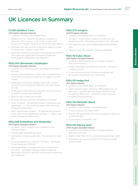# UK Licences in Summary

# PL090 Waddock Cross

- (45% Egdon Operated Interest)
- **Located in Dorset in the Wessex Basin**
- **•**  Waddock Cross Bridport Sandstone (Jurassic) oil discovery with in excess of 20 mmbo in place, and Proven and Probable Reserves of 0.6 mmbo (Net Egdon)
- **•**  Extended well test currently ongoing to determine field commerciality – results in early 2012
- **Significant Sherwood Sandstone oil prospects at Winfrith** (1.9 mmbo Net Egdon Best Estimate Prospective Resources) and elsewhere (see PEDL237)

# PEDL005 (Remainder) Keddington

### (75% Egdon Operated Interest)

- **•**  Located in Lincolnshire in the East Midlands petroleum province
- **•**  Contains the Keddington oil field which produces from carboniferous sandstone reservoir at a depth of 2,200 metres
- **•**  Keddington-4 sidetrack drilled in April 2011 stable production of 75 bopd and 200,000 cubic feet of gas per day
- **•**  Keddington-3 free-flowing production well constrained by ability to utilise associated gas
- **•**  Plans for gas to electricity project
- **•**  2P Field reserves currently estimated at 0.3 mmbo
- **•**  Louth Prospect 3D defined prospect contiguous with Keddington – c. 1.25 mmbo Net Egdon Best Estimate Prospective Resources
- **•**  North Somercotes Prospect 3D defined gas prospect to the north of the Saltfleetby gas field – c. 7.26 bcf Net Egdon Prospective Resources

# PEDL068 Kirkleatham and Westerdale

### (40% Egdon Operated Interest)

- **•**  Located in North Yorkshire and Cleveland in the Cleveland Basin
- **•**  Permian age carbonate gas plays
- **•**  Kirkleatham producing gas field first production April 2011
- **•**  Current production of 1.5 to 2.0 mmcfg/d Net Egdon Proven Reserves of 0.8 bcf
- **•**  Westerdale/Ralph Cross gas discovery in Brotherton formation – Net Egdon Best Estimate Prospective Resources of 6.2 bcf. Late 2012 well planned conditional upon planning

# PEDL070 Avington

# (26.67% Egdon Interest)

- Located in the Weald Basin of Hampshire
- Avington Great Oolite (Jurassic) oil field with two producing wells – Net Egdon production of c. 20 bopd
- **•**  Net Egdon Proven and Probable Reserves of 120,000 bbls
- **•**  Recently sold 10% interest in field for £400,000

# PEDL118 Dukes Wood

### (65% Egdon Operated Interest)

- **•**  Located in Nottinghamshire in the East Midlands Petroleum Province
- Single well producing field Dukes Wood-1 20 bopd currently shut-in
- To be produced as part of Dukes Wood/Eakring/ Kirklington production unit in early 2012

# PEDL125 Hedge End

### (10% Egdon Interest)

- **•**  Located in the Weald Basin of Hampshire
- Great Oolite Prospect tested by 1988 Hedge End-1 oil discovery - 330,000 bbls Net Egdon Best Estimate Prospective Resources – Operator trying to secure a suitable site and planning

# PEDL126 Markwells Wood

### (10% Egdon Interest)

- **•**  Located in West Sussex in the Weald Basin
- **•**  Oil discovered in the Great Oolite
- Pre-drill Net Egdon Best Estimate Prospective Resource of 320,000 bbls
- **•**  To be tested in November 2011

## PEDL130 Eakring West

### (100% Egdon Operated Interest)

- **•**  Located in Nottinghamshire in the East Midlands petroleum province
- **Egdon holds 100% of the conventional exploration rights**
- **Exploration for oil on the flanks of the Eakring-Dukes** Wood oil field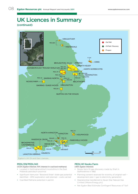# UK Licences in Summary (continued)



## PEDL139/PEDL140

- (13.5% Egdon Interest; 10% interest in coal bed methane)
- **•**  Located in Nottinghamshire/Lincolnshire in the East Midlands petroleum province
- **•**  Significant Namurian "Bowland Shale" shale-gas potential identified – 2012 exploration well planned – costs carried
- **•**  Coal Bed Methane potential in permit

### PEDL141 Nooks Farm (46% Egdon Interest)

- **•**  Nooks farm-1A gas discovery made by Shell in Staffordshire in 1982
- **•**  Planning consent received for re-entry of original well development plan = gas to electricity generation
- **•**  Operatorship transferred to Seven Star Natural Gas Limited (Alkane Energy plc)
- **•**  Net Egdon Best Estimate Contingent Resources of 1 bcf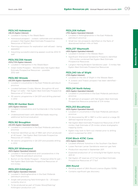### PEDL143 Holmwood

### (38.4% Egdon Interest)

- **Located in Surrey in the Weald Basin**
- **•**  Holmwood prospect Jurassic carbonate and sandstone prospect (Net Egdon Best Estimate Prospective Resources of 16.6 bcf)
- Planning permission for exploration well refused being appealed
- **•**  Assuming successful planning appeal could be 2012-13 well

### PEDL155/256 Havant

### (10%/7.5% Egdon Interest)

- **•**  Located in Hampshire in the Weald Basin
- **•**  Great Oolite Prospect 160,000 bbls Net Egdon Best Estimate Prospective Resources – possible 2012 well

### PEDL180 Wressle

### (33.33% Egdon Operated Interest)

- **•**  Located in Lincolnshire in the East Midlands petroleum province
- **•**  Located between Crosby Warren, Broughton-B1 and Brigg-1 oil wells – Net Egdon Best Estimate Prospective Resources of 1.3 mmbo
- **•**  3D seismic programme in Q4 2011 and drilling planned in 2012

## PEDL181 Humber Basin

### (25% Egdon Interest)

- **Located in Lincolnshire and Humberside in the Humber** Basin
- **•**  Underexplored basin with identified leads requiring additional technical evaluation

### PEDL182 Broughton

### (33.33% Egdon Operated Interest)

- **Located in Lincolnshire in the East Midlands petroleum** province
- **•**  Potential identified up-dip of 1984 well which produced at 40 bopd – Net Egdon Best Estimate Prospective Resources of 1 mmbo
- **•**  3D seismic programme in Q4 2011 and possible drilling in 2012

### PEDL201 Widmerpool

### (50% Egdon Operated Interest)

- **•**  Located in Nottinghamshire and Leicestershire in the East Midlands petroleum province
- Burton on the Wolds Prospect Potential 2012/13 well -Net Egdon Best Estimate Prospective Resources of 0.5 mmbo

### PEDL203 Kirklington

### (65% Egdon Operated Interest)

- **•**  Located in Nottinghamshire in the East Midlands petroleum province
- **•**  Single well producing field Kirklington-3z 20 bopd currently shut-in
- To be produced as part of Dukes Wood/Eakring/ Kirklington production unit

### PEDL206 Kelham

### (75% Egdon Operated Interest)

- **Located in Nottinghamshire in the East Midlands** petroleum province
- Small low risk prospects identified on the flank of abandoned Kelham Hills oil field

# PEDL237 Weymouth

- (45% Egdon Operated Interest)
- **•**  Located in Dorset in the Wessex Basin
- Significant Sherwood Sandstone Prospects identified – 31.5 mmbo combined Net Egdon Best Estimate Prospective Resources
- **•**  Langton Herring Bridport Sandstone Lead 3 mmbo Net Egdon Best Estimate Prospective Resources

## PEDL240 Isle of Wight

### (7.5% Egdon Interest)

- **Located on the Isle of Wight in the Wessex Basin**
- **•**  A Jurassic and Triassic prospect has been identified M prospect

## PEDL241 North Kelsey

### (50% Egdon Operated Interest)

- **•**  Located in Lincolnshire in the East Midlands petroleum province
- **5D defined oil prospect with Net Egdon Best Estimate** Prospective Resource potential of 3.14 mmbo

# PEDL253 Biscathorpe

### (60% Egdon Operated Interest)

- **•**  Located in Lincolnshire in the East Midlands petroleum province
- **•**  Oil discovered by BP in 1987 in a thin sand on a large 3D defined regional structure
- **Net Egdon Best Estimate Prospective Resources of 8.47** mmbo, High Estimate of 25 mmbo where stratigraphic trapping works
- **Egdon may look to farm-out interest prior to drilling** which is planned for 2012

## P.1241 Block 47/9C Ceres

### (10% Egdon Interest)

- **Located offshore Yorkshire in the Southern Gas Basin**
- Lower Permian Leman Sandstone reservoir gas field
- **•**  Production resumed in September 2011
- **Expected production of 1.2 mmscfg/d Net Egdon during** 2011-12
- **•**  Net Egdon 2P reserves of 3.7 bcf and Best Estimate Prospective Resources of 1.7 bcf

### 26th Round

- **•**  Pending award of 26th Round Licence (Egdon 100%)
- **•**  Contains significant gas discovery

**Financial Statements**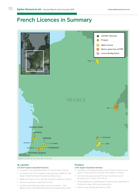# French Licences in Summary



### St Laurent

### (33.423% Egdon Operated Interest)

- **•**  Located in the Aquitaine Basin of South-West France
- **•**  Contains multi-TCF Audignon gas prospect (896 bcf Net Egdon Best Estimate Prospective Resources)
- **•**  Seeking to farm-out to de-risk prospect ahead of drilling
- **•**  Seismic acquisition planned for 2012
- **•**  Contains the Grenade heavy oil accumulation Net Egdon 2.06 mmbo Best Estimate Contingent Resources

### Pontenx

### (40% Egdon Operated Interest)

- **•**  Located in the Parentis Basin South-West France to the south of the Parentis Oil Field, the largest in France
- **•**  Contains the abandoned Mimizan Nord field which produced 3.5 mmbls of 12 API oil
- **•**  Three additional undeveloped oil discoveries identified in Cretaceous age carbonate sequences
- **•**  Seismic and drilling planned for 2012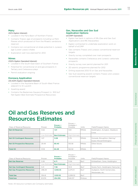### (50% Egdon Interest)

- **•**  Located in the Paris Basin of Northern France
- **•**  Contains Triassic age oil prospects including Le Petit Pierere which produced oil from the Rhaetic sandstone reservoir
- **•**  Contains non-conventional oil-shale potential in Jurassic age (Lower Liassic) shales
- **•**  Exploration well now planned for 2012

### Nimes

### (100% Egdon Operated Interest)

- **•**  Located in the South-East basin of Southern France
- **Potential for conventional oil and gas prospects in** Tertiary and Cretaceous plays
- **•**  Permit evaluation ongoing

### Donzacq Application

### (33.423% Egdon Operated Interest)

- **Located in the Aquitaine Basin of South-West France** adjacent to St Laurent
- **•**  Awaiting award
- **•**  Contains the Bastennes-Gaujacq Prospect (c. 300 bcf Net Egdon Best Estimate Prospective Resources)

## Gex, Navacelles and Gex Sud Application Options

### (eCORP Operated)

- **Egdon has back in options of 6% (Gex and Gex Sud)** Application) and 9% (Navacelles)
- Egdon contracted to undertake exploration work on behalf of eCORP
- Gex contains Triassic and Jurassic conventional reservoir targets
- Gravity survey completed over main prospects
- **Navacelles contains Cretaceous and Jurassic carbonate** prospects
- Gravity survey over permit planned for 2011
- 2D seismic programme planned for 2012
- **Drilling expected 2012-13 on Gex and Navacelles**
- Gex Sud (awaiting award) contains Triassic and Jurassic conventional reservoir targets

# Oil and Gas Reserves and Resources Estimates

| Class of Reserve/Resource            | Proven       | Proven +<br>Probable | Proven +<br>Probable +<br>Possible | Units        | Field/Prospect Name                                    |
|--------------------------------------|--------------|----------------------|------------------------------------|--------------|--------------------------------------------------------|
| <b>Net Oil Reserves</b>              | 0.62         | 1.01                 | 1.60                               | <b>MMstb</b> | Keddington, Avington, Waddock<br>Cross                 |
|                                      | Low Estimate | <b>Best Estimate</b> | High Estimate                      |              |                                                        |
| <b>Net Oil Contingent Resources</b>  | 1.07         | 3.08                 | 5.76                               | MMstb        | Grenade, Broughton, Eakring/<br>Dukes-Wood/Kirklington |
| <b>Net Oil Prospective Resources</b> | 29.49        | 80.40                | 155.56                             | <b>MMstb</b> | Other blocks                                           |
| <b>Total Oil</b>                     | 31.18        | 84.49                | 162.92                             | <b>MMstb</b> |                                                        |

| Class of Reserve/Resource            | Proven       | Proven +<br>Probable | Proven +<br>Probable +<br>Possible | Units       | Field/Prospect Name             |
|--------------------------------------|--------------|----------------------|------------------------------------|-------------|---------------------------------|
| <b>Net Gas Reserves</b>              | 3.30         | 6.71                 | 11.06                              | <b>Bscf</b> | Kirkleatham, Ceres, Keddington  |
|                                      | Low Estimate | <b>Best Estimate</b> | High Estimate                      |             |                                 |
| <b>Net Gas Contingent Resources</b>  | 3.21         | 7.36                 | 13.13                              | <b>Bscf</b> | Nooks Farm, Keddington Namurian |
| <b>Net Gas Prospective Resources</b> | 298.29       | 1.008.45             | 2.275.13                           | <b>Bscf</b> | Audignon, North Somercotes,     |
|                                      |              |                      |                                    |             | Westerdale, etc.                |
| <b>Total Gas</b>                     | 304.8        | 1.022.52             | 2.299.32                           | <b>Bscf</b> |                                 |
| <b>Total boe</b>                     | 81.974       | 254.916              | 546.137                            | Mmboe       |                                 |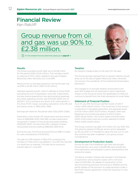# Financial Review Ken Ratcliff

# Group revenue from oil and gas was up 90% to £2.38 million.



For the detailed financial statements please go to **page 23**  $\rightarrow$ 

# **Results**

The Group recorded a profit after tax of £4.08 million for the period (2010: £0.24 million). This includes a profit on disposal of £4.3 million related to the sale of Egdon Resources (New Ventures) Ltd. to eCORP.

Revenue from oil and gas production during the year was up 90% to £2.38 million (2010: £1.25 million).

Adjusted operating profit, which is defined as Gross Profit, excluding the cost of exploration write offs, impairments and pre-licence expenditure, less administrative expenses, plus other operating income, was £710,020 (2010: loss of £61,007). This is primarily as a result of an improvement in the Gross Profit margin, excluding exploration write offs and pre-licence costs, to 49% (2010: 34%).

Earnings per share for the period were 3.12p (2010: 0.29p).

Exploration costs written off, impairments and pre-licence costs of £890,699 (2010: £64,786) include impairments recognised in respect of two producing assets totalling £230,000 (2010: nil) and write offs in respect of seven relinquished licences totalling £586,063 (2010 £nil).

During the year, the Group acquired EnCore (E&P) Limited for cash consideration of £100,000.

The sale of a 10% interest in PEDL070 containing the Avington oil field which was agreed in July 2011 has resulted in a small loss on disposal. This sale has an economic transfer date of 1 June 2011.

### **Taxation**

No taxation charge arises on the result for the year.

The Group has been advised that no taxation liability should arise out of the sale of Egdon Resources (New Ventures) Ltd owing to the availability of the Substantial Shareholders Exemption.

The changes to oil and gas taxation announced in the April 2011 budget are not expected to have a significant impact on the Group as all but the Keddington oil field will continue to benefit from the Field Allowance for small fields.

### Statement of Financial Position

As at 31 July 2011 the Group had Net Assets of £20.17 million (2010: £16.03 million). This comprises of the Group's investments in intangible exploration and appraisal assets of £7.10 million (2010: £7.03 million), Property, Plant and Equipment (our producing assets) of £10.72 million (2010: £8.42 million), net current assets of £3.28 million (2010: £1.49 million) and non-current liabilities of £0.94 million (2010: £0.92 million).

The Group currently has debt of £1 million (31 July 2010: Nil). This attracts interest of 10% per annum and is repayable by 28 July 2012. It is intended to repay the loan out of cash flow and this has been modelled in our going concern considerations.

### Development & Production Assets

During the year the Kirkleatham gas field was brought into production and costs of £2,610,136 were transferred from exploration and evaluation costs to development and production assets.

The above Avington interest sale resulted in the disposal of exploration and evaluation assets with a net book value of £447,256, the release of a proportion of the decommissioning provision amounting to £18,823 and the partial release of the provision to make payments under a Net Profit Interest agreement of £22,742 resulting in a loss of £5,692.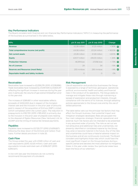### Key Performance Indicators

The Board considers both financial and non-financial Key Performance Indicators ("KPI's") in measuring the performance of the business as summarised in the table below.

| <b>KPIs</b>                                   | v/e 31 July 2011 | v/e 31 July 2010 | Change            |
|-----------------------------------------------|------------------|------------------|-------------------|
| Revenue                                       | £2.38 million    | £1.25 million    | $+90\%$ 个         |
| Total comprehensive income (net profit)       | £4.08 million    | £0.24 million    | $+1600\%$ 个       |
| Net current assets                            | £3.28 million    | £1.49 million    | $+220\%$ 个        |
| <b>Equity</b>                                 | £20.17 million   | £16.03 million   | $+26%$ 个          |
| <b>Production Volumes</b>                     | 46.919 boe       | 27.056 boe       | $+73%$ 个          |
| No of Licences                                | 29               | 34               | $-15\%$ $\bullet$ |
| Reserves and Resources (most likely)          | 255 mmboe        | 295 mmboe        | $-14\%$           |
| <b>Reportable Health and Safety Incidents</b> | $\bigcirc$       | $\bigcirc$       | $O\%$             |

### Receivables

Receivables have increased to £2,258,276 (2010: £1,038,896). Trade receivables have increased by £1,097,405 to £1,604,317 reflecting the significant increase in revenues during the year and, in particular, the volume of gas sold at Kirkleatham prior to the year end.

The increase of £289,851 in other receivables reflects proceeds of £400,000 due in respect of the Avington interest sale and the inclusion in the prior year of amounts paid in respect of the acquisition of EnCore (E&P) Limited (which completed within the current year). The reduction in prepayments to £92,720 (2010: £185,402) is primarily due to the inclusion in the prior year of prepaid costs relating to the disposal of Egdon Resources (New Ventures) Ltd. to eCORP and the timing of licence fee renewal payments.

### Payables

Payables have increased to £2,725,717 (2010: £1,639,667) following the draw down of the EnCore and Carbon Trust loans. Further details are shown in note 25.

### Cash Flow

The Group ended the year with £3.69 million of cash and cash equivalents (2010: £2.03 million). Cash and cash equivalents include restricted cash of £296,027 (2010: £295,527).

In line with last year the Directors do not currently recommend the payment of a dividend.

### Risk Management

Like all exploration and production businesses the Group is exposed to a range of technical, geological, operational, political, environmental, health and safety and financial risks in the conduct of its operations. The Group seeks to manage and mitigate these risks through maintaining a spread of exploration and production interests, through compliance with the terms of its licences, through adopting policies appropriate to the Group's size and by the use of skilled personnel.

The table below sets out the principal risk factors that may affect the Group's business, their potential impact and mitigation strategies developed. Risks are grouped into four main categories: strategic; financial; operational; and external. Such risk factors are not intended to be presented in any assumed order of priority. The risks as set out are not exhaustive and additional risks and uncertainties, not presently identified or considered material by the Group, may arise or become material in the future. Any of the risks and uncertainties could have a material adverse impact on the business and all are continuously monitored. The Board considers and highlights those risks which could have the most significant impact on the Groups business during a specific period and devotes the most attention to mitigating these. In the year under review, four particular areas have been the focus of our attention:-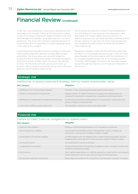# Financial Review (continued)

A key risk is the operational, financial and reputational risk associated with a Health, Safety or Environmental incident in any of the Group's operations. Egdon employs a full-time HSE Manager and operates using best-practice in all of its operations. The Group also maintains appropriate levels of insurance for all of its operations to ensure adequate cover in the case of any incident.

Commodity price fluctuations have an impact on revenues and forward investment decisions as they affect project economics. The Group does not currently hedge any production due to the limited number of producing assets/ wells and low level of debt within the Group. We carefully monitor the forward commodity prices and review our projects using a range of commodity prices and continue to keep the use of hedging under review.

As the Group has become involved in field development (e.g. Kirkleatham) it has become more exposed to risks associated with project delays and cost overruns. In addition as production and revenues have increased and the Group's reliance on cash flow for future work programme has increased the performance of assets has become a more material risk.

Regulatory changes in both the UK and France have had an impact on the business during the year. In the UK there were changes to the fiscal regime with the introduction of an increased Supplementary Tax on oil company profits in the April 2011 budget. In France a law has been passed during the year banning the use of "hydraulic fracturing" in the country.

# Strategic risk

# Ineffective or poorly executed strategy fails to create shareholder value

| <b>Risk Category</b>                             | <b>Mitigation</b>                                                                                                                     |
|--------------------------------------------------|---------------------------------------------------------------------------------------------------------------------------------------|
| - Ineffective mix of oil and gas interests       | Interests in two countries and several sedimentary basins.                                                                            |
| - Organic and acquisition led-growth             | Regular review of capital investment programmes. Board approval<br>required for exploration programmes, acquisitions and divestments. |
| - Ineffective or inadequate management processes | Policies and procedures appropriate for an exploration and production<br>group of Egdon's scale and size.                             |
| - Loss of key staff/succession planning          | Remuneration policies to attract and retain staff.                                                                                    |

# Financial risk

# Failure to meet financial obligations to stakeholders

| <b>Risk Category</b>                | <b>Mitigation</b>                                                                                                                                  |
|-------------------------------------|----------------------------------------------------------------------------------------------------------------------------------------------------|
| - Industry cost inflation           | Rigorous contracting procedures with competitive tendering.                                                                                        |
| $-$ Oil and gas price volatility    | Use range of commodity prices in forecasting. Look to hedging as<br>production volumes and number of fields increase.                              |
| - Inadequate or excessive hedging   | Limited opportunity for hedging with current producing assets. Review<br>hedging policy as production volumes and number of fields increase.       |
| -Uninsured events                   | Comprehensive insurance policies.                                                                                                                  |
| - Underperforming assets            | Range of production forecasting in budget process. Increase number and<br>breadth of producing assets.                                             |
| — Cost overrun                      | Main capital expenditure is in drilling operations. Look to farm-out projects<br>where significant risk of cost over-run exists to limit exposure. |
| - Mis-priced corporate acquisitions | Board approval required for acquisitions. Conservative valuation of assets.                                                                        |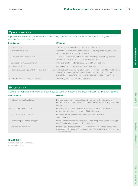# Operational risk

Operational event impacts staff, contractors, communities or the environment leading to loss of reputation and revenue

| <b>Risk Category</b>                  | <b>Mitigation</b>                                                                                                                                                                                                                                                                  |
|---------------------------------------|------------------------------------------------------------------------------------------------------------------------------------------------------------------------------------------------------------------------------------------------------------------------------------|
| $-$ HSE incident                      | HSE standards set and monitored across the Group.                                                                                                                                                                                                                                  |
| - Development failure                 | Technical, Financial and Board approval of development projects with<br>regular reporting of field performance.                                                                                                                                                                    |
| - Sustained exploration failure       | Robust technical review of all projects. Board approval of exploration<br>budgets and regular reporting of exploration results.                                                                                                                                                    |
| - Corruption or reputation failure    | High level of ethical standards apply to all Group activity.                                                                                                                                                                                                                       |
| $-$ Loss of key staff                 | Remuneration policies to attract and retain staff.                                                                                                                                                                                                                                 |
|                                       | - Failure to secure equipment, services and resources Rigorous contracting and procurement procedures applied to all operations.<br>Long-term planning of required resources. Maintain intelligence on<br>availability of equipment, services and materials in areas of operation. |
| - Corporate and social responsibility | Maintain good community relationships.                                                                                                                                                                                                                                             |

# External risk

# Failure to manage and grow the business caused by external political, industry or market factors

| <b>Risk Category</b>               | <b>Mitigation</b>                                                                                                                                                      |
|------------------------------------|------------------------------------------------------------------------------------------------------------------------------------------------------------------------|
| - Political risk and fiscal change | Develop sustainable relationships with government ministries and<br>collaborate with industry bodies to communicate interests to government<br>authorities.            |
| $-$ Oil and gas price volatility   | Use range of commodity prices in forecasting. Look to hedging as<br>production volumes and number of fields increase.                                                  |
| - Lack of control of key assets    | Proactive formal and informal communications with joint<br>venture partners.                                                                                           |
| - Corporate governance changes     | Review of compliance requirements and ongoing consultation with legal<br>and financial advisors and audit committee.                                                   |
| - Shareholder sentiment            | Maintain good communications with shareholders. Present timely and<br>transparent information. Maintain website. Effectively convey and execute<br>corporate strategy. |

## Ken Ratcliff

Chairman of Audit Committee 4 November 2011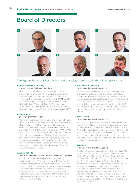# Board of Directors



# The Egdon Board of Directors has wide-ranging experience in the oil and gas sector.

### 1. Philip Stephens MA (Oxon.)

(Non-Executive Chairman) Aged 69

Philip is a corporate financier with 38 years of City experience. He is currently Non-Executive Chairman of Neptune-Calculus Income and Growth VCT plc. He is also a Non-Executive Director of Foresight 4 VCT plc. He was Joint Head of the Corporate Finance Department of stockbrokers Williams de Broë for four years until his retirement in 2002 and before that was Head of UK Corporate Finance at UBS from 1995, having joined in 1989.

### 2. Mark Abbott

### (Managing Director) Aged 50

Mark is an experienced geophysicist and founding Director of Egdon Resources plc. He graduated from the University of Nottingham in 1985 with a degree in Exploration Sciences (Geology/Geophysics/Mining Engineering). He worked for the British Geological Survey from 1985 to 1992 in the UK and overseas. Between 1992 and 1996 he worked in the International Division of British Gas Exploration and Production Limited and was employed by Anadarko Algeria Corporation from 1996 to 1997. He is also a Non-Executive Director of MA Exploration Services Limited, Bishopswood Pavilion Limited and a Trustee of the UK Onshore Geophysical Library.

### 3.Walter Roberts

#### (Non-Executive Director and Company Secretary) Aged 60

Walter is an oil and gas lawyer with an engineering background. He qualified as a solicitor with Simmons & Simmons before joining Phillips Petroleum in 1980. In 1986 he set up the legal department for Lasmo in Australia and later became the principal UK joint venture negotiator for Talisman. Walter is currently the Commercial Director of Infrastrata plc, an Executive Director of Pinnacle Energy Limited and a Non-Executive Director of Bow Valley Petroleum (UK) Limited.

# 4 Ken Ratcliff JP, BSc FCA

(Non-Executive Director) Aged 61

Ken is a chartered accountant with extensive finance and business experience. He is currently the College Accountant at Epsom College and is the co-founder and former Accountant at Geokinetics Processing UK Limited. Ken is non-executive Chairman of Infrastrata plc and has previously held senior management positions with GDC UK Limited, Ensign Geophysics Limited, Seismic Geocode Limited, Tenneco Corporation and Merlin Geophysical Limited.

### 5. John Rix FCA

#### (Non-Executive Director) Aged 77

Following five years abroad with Shell International, John worked in the City as an Investment Analyst specialising in the oil industry, holding positions in N.M. Rothschild, de Zoete & Bevan and Greig Middleton. Since retiring in 1994, he has continued to be actively involved with investment, mainly related to the Oil Industry. John is Chairman and Managing Director of both Dorset Exploration Limited and Yorkshire Exploration Limited.

### 6.Alan Booth

#### (Non-Executive Director) Aged 53

Alan is a highly experienced geoscientist. He holds a BSc degree in Geology from Nottingham University, and a Masters Degree in Petroleum Geology from the Royal School of Mines, Imperial College London. Alan is founder and Chief Executive Officer of EnCore Oil plc having previously held senior management positions in EnCana, Amerada Hess and Oryx Energy. Alan has previously served as President of the United Kingdom Offshore Operators Association, as a Director of Oil and Gas UK and was a member of PILOT. He is a past-president of the Petroleum Exploration Society of Great Britain. Alan is also currently a director of the Oil & Gas Independents Association ("OGIA").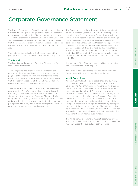# Corporate Governance Statement

The Egdon Resources plc Board is committed to running its business with integrity and high ethical standards across all of the Group's activities. The Directors recognise the value of the UK Corporate Governance Code and whilst under the AIM rules compliance is not required, the Directors believe that the Company applies the recommendations in so far as is practicable and appropriate for a public company of its size.

This statement explains how the Directors applied the principles of the code during the year ended 31 July 2011.

### The Board

The Board comprises of one Executive Director and five Non-Executive Directors.

The background and experience of the Directors are relevant to the Group activities and are summarised on page 16 of this report. As such, the Directors are of the opinion that the Board comprises a suitable balance and that the recommendations of the Combined Code have been implemented to an appropriate level.

The Board is responsible for formulating, reviewing and approving the Group's strategy, financial activities and operating performance. Day-to-day management of the Company is devolved to the Executive Director who is charged with consulting the Board on all significant financial and operational matters. Consequently, decisions are made promptly and following consultation amongst the Directors concerned where necessary and appropriate.

The Board meets regularly throughout the year and met seven times in the year to 31 July 2011. All meetings were attended by all Directors, except for one from which two Directors were absent. In addition there were six meetings to approve administrative resolutions which were only partly attended although all the Directors had approved the business. There was also a meeting of a committee of the Board, consisting of three directors, to deal with matters arising from the sale of an interest in Avington to IS E&P Limited and IS NV Limited. The committee was formed as the other directors had a potential conflict of interest (see note 34).

A statement of the Directors' responsibilities in respect of the accounts is set out on page 21.

The Company has established Audit and Remuneration Committees which are discussed further below.

### Audit Committee

An Audit Committee has been established and currently comprises Ken Ratcliff (Chairman), Philip Stephens and John Rix. The Audit Committee is responsible for ensuring that the financial performance of the Group is properly reported on and monitored. This includes reviewing significant financial reporting issues and accounting policies and disclosures in financial reports. The Audit Committee reviews the scope and results of the external audit and monitors the integrity of the financial statements of the Company. If required, meetings are attended by appropriate members of the senior management. The external auditors have unrestricted access to the Chairman of the Committee. The Audit Committee is also responsible for reviewing the requirement for an internal audit function.

The Audit Committee plans to meet at least twice a year. The committee met twice in the year to 31 July 2011 with all members present or available at both meetings.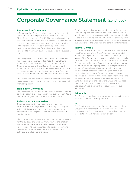# Corporate Governance Statement (continued)

### Remuneration Committee

A Remuneration Committee has been established and its current members comprise Walter Roberts (Chairman), Philip Stephens and Ken Ratcliff. The principal objective of the Remuneration Committee is to ensure that members of the executive management of the Company are provided with appropriate incentives to encourage enhanced performance and are, in a fair and responsible manner, rewarded for their individual contributions to the success of the Group.

The Company's policy is to remunerate senior executives fairly in such a manner as to facilitate the recruitment, retention and motivation of staff. The Remuneration Committee agrees with the Board a framework for the remuneration of the Chairman, the Executive Director and the senior management of the Company. Non-Executive fees are considered and agreed by the Board as a whole.

The Remuneration Committee plans to meet at least twice in each year. It met once in the year to 31 July 2011 with all members present.

### Nomination Committee

The Company has not established a Nomination Committee as the Directors are of the opinion that such a committee is inappropriate given the current size of the Group.

### Relations with Shareholders

Communication with shareholders is given a high priority and the Managing Director has regular dialogue with institutional investors, as well as making general presentations to analysts at the time of the annual and interim results.

The Group maintains a website (www.egdon-resources.com) for the purpose of providing information to shareholders and potential investors. The website contains all news, releases, reports and accounts and public presentations. In addition further detailed information about the Group's activities is available on the website.

Enquiries from individual shareholders in relation to their shareholding and the business as a whole are welcomed and the website has an enquiry facility and contact details to assist in facilitating this. Shareholders are encouraged to attend the Annual General Meeting at which they are able to put questions to the Chairman and other board members.

### Internal Controls

The Board is responsible for establishing and maintaining the effectiveness of the Group's internal controls and risk management systems. They are designed to safeguard the assets of the Group and to ensure the reliability of financial information for both internal use and external publication. The controls which cover financial and operational matters are reviewed on an ongoing basis. It is recognised that a system of internal controls cannot provide absolute assurance that material financial irregularities will be detected or that a risk of failure to achieve business objectives is eliminated. The Board keeps under review the necessity for establishing an internal audit function but considers that, given the size of the Group and the close involvement of senior management in day-to-day operations, there is currently no requirement for such a function.

### Bribery Act

The Group has put in place appropriate measures to ensure compliance with the Bribery Act 2010.

### Risk

The Directors are responsible for the effectiveness of the Group's risk management activities and internal control processes. The Group's approach to risk is described in more detail in the Financial Review on page 13.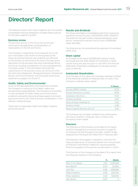# Directors' Report

The Directors submit their report together with the audited consolidated financial statements of Egdon Resources plc for the year ended 31 July 2011.

### Business review

The principal activity of the Group during the year continued to be exploration and production of hydrocarbons in the UK and France.

The Company is required by the Companies Act to set out in this report a fair review of the business of the Group during the financial year ended 31 July 2011 and of the position of the Group at the end of the year and a description of the principal risks and uncertainties facing the Group including consideration of future developments ("business review"). The information that fulfils the requirements of the business review can be found within the Chairman's Statement, Managing Director's Operational Review, the Financial Review and Corporate Governance Statement on pages 4 to 15 and 17.

### Health, Safety and Environmental

As an oil and gas exploration and production business, the Company is conscious of its health, safety and environmental responsibilities. The Company is committed to high standards of health, safety and environmental protection and performance and these aspects command equal prominence with other business considerations in the decision making process.

There were no reportable Health and Safety incidents during the period.

### Results and dividends

The Group recorded a consolidated profit from continuing operations during the year of £4,076,610 (2010: £235,417). The profit for the year is after charging exploration writedowns, impairments and pre-licence costs of £890,699 (2010: £64,786).

The Directors do not recommend the payment of a dividend (2010: £nil).

### Share capital

At the date of this report 130,969,094 ordinary shares are issued and fully paid. Details of movements in share capital during the year are given in note 28 to the financial statements. Movements subsequent to the year end are given in Note 36.

### Substantial Shareholders

As of the date of this report the Company had been notified of the following interests of three per cent. or more in the Company's ordinary share capital:

|                               | % Shares |
|-------------------------------|----------|
| Encore (NNS) Limited          | 13.74    |
| Encore Petroleum Limited      | 15.58    |
| Hargreave Hale & Co           | 11.04    |
| Williams de Broë              | 6.43     |
| Heyco Energy Holdings SL      | 5.25     |
| Andrew Hindle                 | 4.99     |
| Maven Capital Partners UK LLP | 330      |

The Company has not been notified of any other person who has an interest in three per cent. or more in the Company's share capital.

### **Directors**

The Directors of the Company at the date of this report, and their biographical summaries are given on page 16. six Directors served throughout the year. Andrew Hindle resigned from the board with effect from 1 February 2011.

The Directors' remuneration is detailed in note 9 to the financial statements. All Directors benefit from the provision of Directors' and Officers' indemnity insurance policies. Premiums payable to third parties are described in note 9.

The Directors of the Company at the date of this report held the following interests in the Company.

|                 | %    | <b>Shares</b> |
|-----------------|------|---------------|
| Mark A W Abbott | 5.53 | 7.238.648     |
| Ken Ratcliff    | 0.04 | 53.000        |
| John Rix        | 0.99 | 1.293.949     |
| Walter Roberts  | 0.99 | 1.291.750     |
| Philip Stephens | 0.08 | 100.000       |
| Alan Booth      |      |               |
|                 |      |               |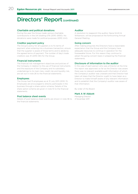# Directors' Report (continued)

### Charitable and political donations

During the year the Group made various charitable contributions in the UK totalling £76 (2010: £900). No donations were made for political purposes (2010: £nil).

### Creditor payment policy

The Group's policy for all suppliers is to fix terms of payment when entering into a business transaction, ensure that the supplier is aware of those terms and to abide by the agreed terms of payment. The number of day's trade creditors was 41 (2010: 80) for the Group.

### Financial instruments

The financial risk management objectives and policies of the Company in relation to the use of financial instruments and the exposure of the Company and its subsidiary undertakings to its main risks, credit risk and liquidity risk, are set out in note 26 to the financial statements.

### Employees

The Group had 13 employees as at 31 July 2011 (2010: 11). Employees are encouraged to directly participate in the business through a share option scheme. Details of the share option scheme are given in note 10 to the financial statements.

### Post balance sheet events

Details of post balance sheet events are shown in note 36 to the financial statements.

### Auditor

A resolution to reappoint the auditor, Nexia Smith & Williamson, will be proposed at the forthcoming Annual General Meeting.

### Going concern

After making enquiries the Directors have a reasonable expectation that the Group and the Company have adequate resources to continue in operation for the foreseeable future. For this reason they continue to adopt the going concern basis in preparing the financial statements.

### Disclosure of information to the auditor

In the case of each person who was a Director at the time this report was approved: so far as the Director was aware there was no relevant available audit information of which the Company's auditor was unaware and that Director had taken all steps that the Director ought to have taken as a Director to make himself aware of any relevant information and to establish that the Company's auditor was aware of that information.

By order of the Board

### Mark A W Abbott

Managing Director 4 November 2011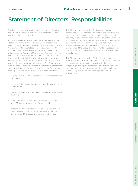# Statement of Directors' Responsibilities

The Directors are responsible for preparing the Directors' report and the financial statements in accordance with applicable law and regulations,

Company law requires the Directors to prepare financial statements for each financial year. Under that law the Directors have prepared the Group, and elected to prepare the Company financial statements in accordance with International Financial Reporting Standards (IFRSs) as adopted by the European Union. Under Company law the Directors must not approve the financial statements unless they are satisfied that they give a true and fair view of the state of affairs of the Company and the Group and of the profit or loss of the Group for that year. The Directors are also required to prepare financial statements in accordance with the rules of the London Stock Exchange for companies trading securities on the Alternative Investment Market.

- **•**  In preparing these financial statements the Directors are required to:
- **•**  select suitable accounting policies and then apply them consistently;
- **•**  make judgements and estimates that are reasonable and prudent;
- state whether they have been prepared in accordance with IFRS as adopted by the European Union;
- **•**  prepare the financial statements on the going concern basis unless it is inappropriate to presume that the Company and the Group will continue in business.

The Directors are responsible for keeping adequate accounting records that are sufficient to show and explain the Company's transactions and disclose with reasonable accuracy at any time the financial position of the Company and the Group and enable them to ensure that the financial statements comply with the Companies Act 2006. They are also responsible for safeguarding the assets of the Company and the Group and hence for taking reasonable steps for the prevention and detection of fraud and other irregularities.

The Directors are responsible for the maintenance and integrity of the corporate and financial information included on the Company's website. Legislation in the United Kingdom governing the preparation and dissemination of the financial statements and other information included in annual reports may differ from legislation in other jurisdictions.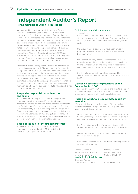# Independent Auditor's Report

# To the members of Egdon Resources plc

We have audited the financial statements of Egdon Resources plc for the year ended 31 July 2011 which comprise the Consolidated statement of comprehensive income, the Consolidated and Parent Company statement of financial position, the Consolidated and Parent Company statements of cash flows, the Consolidated and Parent Company statements of changes in equity and the related notes 1 to 36. The financial reporting framework that has been applied in their preparation is applicable law and International Financial Reporting Standards (IFRSs) as adopted by the European Union and as regards the parent company financial statements, as applied in accordance with the provisions of the Companies Act 2006.

This report is made solely to the Company's members, as a body, in accordance with Chapter three of Part 16 of the Companies Act 2006. Our audit work has been undertaken so that we might state to the Company's members those matters we are required to state to them in an auditor's report and for no other purpose. To the fullest extent permitted by law, we do not accept or assume responsibility to anyone other than the Company and the Company's members as a body, for our audit work, for this report, or for the opinions we have formed.

### Respective responsibilities of Directors and auditor

As explained more fully in the Directors' Responsibilities statement as set out on page 21, the Directors are responsible for the preparation of the financial statements and for being satisfied that they give a true and fair view. Our responsibility is to audit and express an opinion on the financial statements in accordance with applicable law and International Standards on Auditing (UK and Ireland). Those standards require us to comply with the Auditing Practices Board's (APB's) Ethical Standards for Auditors.

### Scope of the audit of the financial statements

A description of the scope of an audit of financial statements is provided on the APB's website at www.frc.org.uk/apb/scope/private.cfm.

### Opinion on financial statements

In our opinion:

- the financial statements give a true and fair view of the state of the Group's and the Parent Company's affairs as at 31 July 2011 and of the Group's profit for the year then ended;
- **•**  the Group financial statements have been properly prepared in accordance with IFRSs as adopted by the European Union;
- the Parent Company financial statements have been properly prepared in accordance with IFRSs as adopted by the European Union and as applied in accordance with the provisions of the Companies Act 2006; and
- the financial statements have been prepared in accordance with the requirements of the Companies Act 2006.

### Opinion on other matter prescribed by the Companies Act 2006

In our opinion the information given in the Directors' Report for the financial year for which the financial statements are prepared is consistent with the financial statements.

### Matters on which we are required to report by exception

We have nothing to report in respect of the following matters where the Companies Act 2006 requires us to report to you if, in our opinion:

- **•**  adequate accounting records have not been kept by the Parent Company, or returns adequate for our audit have not been received from branches not visited by us; or
- **•**  the Parent Company financial statements are not in agreement with the accounting records and returns; or
- **•**  certain disclosures of Directors' remuneration specified by law are not made; or
- **•**  we have not received all the information and explanations we require for our audit.

Sancho Simmonds 1 Bishops Wharf Senior Statutory Auditor, Walnut Tree Close for and on behalf of Guildford GU1 4RA Nexia Smith & Williamson Statutory Auditor

Chartered Accountants 4 November 2011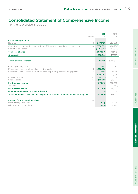# Consolidated Statement of Comprehensive Income

For the year ended 31 July 2011

|                                                                                        |                | 2011              | 2010              |
|----------------------------------------------------------------------------------------|----------------|-------------------|-------------------|
|                                                                                        | Notes          | £                 | £                 |
| <b>Continuing operations</b>                                                           |                |                   |                   |
| Revenue                                                                                | 3              | 2,379,150         | 1,251,676         |
| Cost of sales - exploration costs written off, impairments and pre-licence costs       | $\overline{4}$ | (890, 699)        | (64,786)          |
| Cost of sales - other                                                                  |                | (1, 207, 502)     | (819, 133)        |
| <b>Total cost of sales</b>                                                             |                | (2,098,201)       | (883,919)         |
| <b>Gross profit</b>                                                                    |                | 280,949           | 367,757           |
| <b>Administrative expenses</b>                                                         | $\overline{4}$ | (687,181)         | (668, 347)        |
|                                                                                        |                |                   |                   |
| Other operating income                                                                 |                | 225,553           | 174,797           |
| Exceptional item - profit on disposal of subsidiary                                    | 5              | 4,338,290         |                   |
| Exceptional item - (loss)/profit on disposal of property, plant and equipment          | 6              | (648)             | 388,881           |
|                                                                                        |                | 4,156,963         | 263.088           |
| Finance income                                                                         | $12^{1}$       | 41,505            | 1.156             |
| Finance costs                                                                          | 13             | (121, 858)        | (28, 714)         |
| <b>Profit before taxation</b>                                                          |                | 4,076,610         | 235,530           |
| Taxation                                                                               | 14             |                   | (113)             |
| Profit for the period                                                                  |                | 4,076,610         | 235,417           |
| Other comprehensive income for the period                                              |                |                   |                   |
| Total comprehensive income for the period attributable to equity holders of the parent |                | 4,076,610         | 235,417           |
| Earnings for the period per share                                                      | 15             |                   |                   |
| Basic earnings per share                                                               |                | 3.12 <sub>p</sub> | 0.29 <sub>p</sub> |
| Diluted earnings per share                                                             |                | 3.10 <sub>p</sub> | 0.29p             |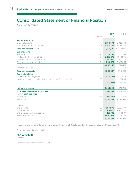# Consolidated Statement of Financial Position

As at 31 July 2011

|                                                                         |       | 2011        | 2010        |
|-------------------------------------------------------------------------|-------|-------------|-------------|
|                                                                         | Notes | £           | £           |
| <b>Non-current assets</b>                                               |       |             |             |
| Intangible assets                                                       | 17    | 7,104,670   | 7,032,533   |
| Property, plant and equipment                                           | 18    | 10,721,342  | 8,422,363   |
| <b>Total non-current assets</b>                                         |       | 17,826,012  | 15,454,896  |
| <b>Current assets</b>                                                   |       |             |             |
| Inventory                                                               | 20    | 9,796       |             |
| Trade and other receivables                                             | 21    | 2,258,276   | 1,038,896   |
| Available for sale financial assets                                     | 22    | 50,000      | 50,000      |
| Cash and cash equivalents                                               | 24    | 3,691,175   | 2,029,835   |
|                                                                         |       | 6,009,247   | 3,118,731   |
| Assets held for sale                                                    | 23    |             | 21,600      |
| <b>Total current assets</b>                                             |       | 6,009,247   | 3,140,331   |
| <b>Current liabilities</b>                                              |       |             |             |
| Trade and other payables                                                | 25    | (2,725,717) | (1,639,667) |
| Liabilities directly associated with assets classified as held for sale | 23    |             | (8,645)     |
|                                                                         |       | (2,725,717) | (1,648,312) |
|                                                                         |       |             |             |
| Net current assets                                                      |       | 3,283,530   | 1,492,019   |
| <b>Total assets less current liabilities</b>                            |       | 21,109,542  | 16,946,915  |
| <b>Non-current liabilities</b>                                          |       |             |             |
| Provisions                                                              | 27    | (940, 316)  | (915, 910)  |
| Net assets                                                              |       | 20,169,226  | 16,031,005  |
|                                                                         |       |             |             |
| <b>Equity</b>                                                           |       |             |             |
| Share capital                                                           | 28    | 13,086,909  | 13,067,577  |
| Share premium                                                           | 29    | 1,374,428   | 1,362,500   |
| Share based payment reserve                                             |       | 107,332     | 84,907      |
| Retained earnings                                                       |       | 5,600,557   | 1,516,021   |
|                                                                         |       | 20,169,226  | 16,031,005  |

These financial statements were approved by the Board of Directors and authorised for issue on 4 November 2011.

They were signed on its behalf by:

### M A W Abbott

Director

Company registration number 06409716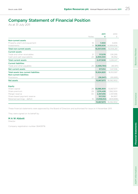# Company Statement of Financial Position

As at 31 July 2011

|                                              |       | 2011        | 2010       |
|----------------------------------------------|-------|-------------|------------|
|                                              | Notes | £           | £          |
| Non-current assets                           |       |             |            |
| Property, plant and equipment                | 18    | 7.400       | 6.655      |
| Investments                                  | 19    | 14,999,606  | 14,999,606 |
| <b>Total non-current assets</b>              |       | 15,007,006  | 15,006,261 |
| <b>Current assets</b>                        |       |             |            |
| Trade and other receivables                  | 21    | 117,078     | 1,191,295  |
| Cash and cash equivalents                    | 24    | 2,300,530   | 36,952     |
| <b>Total current assets</b>                  |       | 2,417,608   | 1,228,247  |
| <b>Current liabilities</b>                   |       |             |            |
| Trade and other payables                     | 25    | (1,499,794) | (80, 911)  |
| Net current assets                           |       | 917,814     | 1,147,336  |
| <b>Total assets less current liabilities</b> |       | 15,924,820  | 16,153,597 |
| <b>Non-current liabilities</b>               |       |             |            |
| Provisions                                   | 27    | (56, 947)   | (90,695)   |
| <b>Net assets</b>                            |       | 15,867,873  | 16,062,902 |
|                                              |       |             |            |
| <b>Equity</b>                                |       |             |            |
| Share capital                                | 28    | 13,086,909  | 13,067,577 |
| Share premium                                | 29    | 1,374,428   | 1,362,500  |
| Merger reserve                               | 30    | 2,357,816   | 2,357,816  |
| Share based payment reserve                  |       | 107,332     | 84,907     |
| Retained earnings - deficit                  | 16    | (1,058,612) | (809, 898) |
|                                              |       | 15,867,873  | 16,062,902 |

These financial statements were approved by the Board of Directors and authorised for issue on 4 November 2011.

They were signed on its behalf by:

## M A W Abbott

Director

Company registration number 06409716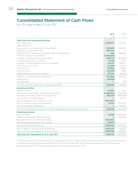# Consolidated Statement of Cash Flows

For the year ended 31 July 2011

|                                                                                | 2011        | 2010        |
|--------------------------------------------------------------------------------|-------------|-------------|
|                                                                                | £           | £           |
| Cash flows from operating activities                                           |             |             |
| Profit before tax                                                              | 4,076,610   | 235,530     |
| Adjustments for:                                                               |             |             |
| Depreciation and impairment of fixed assets                                    | 728,649     | 265,346     |
| Exploration costs written off                                                  | 593,705     |             |
| Loss/(profit) on disposal of property, plant and equipment                     | 648         | (388, 881)  |
| Profit on disposal of subsidiary                                               | (4,338,290) |             |
| Increase in trade and other receivables                                        | (960, 114)  | (399, 622)  |
| (Increase)/decrease in inventory                                               | (9,796)     | 12,127      |
| Increase in trade payables and other payables                                  | 10,524      | 358,177     |
| Movement in provisions                                                         | (11,006)    | (3,612)     |
| Finance costs                                                                  | 121,858     | 27,905      |
| Finance income                                                                 | (41, 505)   | (1,156)     |
| Share based remuneration charge                                                | 30,351      | 54.831      |
| Cash flow generated from operations                                            | 201,634     | 160,645     |
| Interest paid                                                                  | (49, 592)   |             |
| Taxation paid                                                                  |             | (113)       |
| Net cash flow generated from operating activities                              | 152,042     | 160.532     |
| <b>Investing activities</b>                                                    |             |             |
| Finance income                                                                 | 41,505      | 1.156       |
| Payments for exploration and evaluation assets                                 | (3,236,954) | (1,132,998) |
| Purchase of property, plant and equipment                                      | (861, 531)  | (898,055)   |
| Gross profit on oil well testing                                               |             | 32,767      |
| Sale of subsidiary net of costs incurred                                       | 4,484,184   |             |
| Sale of property, plant and equipment                                          | 5,044       | 502,950     |
| Sale of intangible fixed assets                                                |             | 146,635     |
| Net cash generated from/(used in) capital expenditure and investing activities | 432,248     | (1,347,545) |
| <b>Financing activities</b>                                                    |             |             |
| Issue of shares                                                                | 31,260      | 2,000,000   |
| Costs associated with issue of shares                                          |             | (82,500)    |
| Proceeds from short term borrowings                                            | 1,053,652   |             |
| Repayments of short term borrowings                                            | (15, 657)   |             |
| Net cash flow from financing                                                   | 1,069,255   | 1,917,500   |
| Net increase in cash and cash equivalents                                      | 1,653,545   | 730,487     |
| Cash and cash equivalents as at 31 July 2010                                   | 2,037,630   | 1,307,143   |
| Cash and cash equivalents as at 31 July 2011                                   | 3,691,175   | 2,037,630   |

In 2010 significant non-cash transactions comprised the issue of equity share capital as consideration for the acquisition of tangible and intangible fixed assets from EnCore Oil Plc (note 28), and for decommissioning and reinstatement provisions (note 27). There were no significant non-cash transactions in 2011.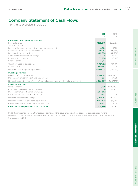# Company Statement of Cash Flows

For the year ended 31 July 2011

|                                                                                | 2011<br>£   | 2010<br>£   |
|--------------------------------------------------------------------------------|-------------|-------------|
| Cash flows from operating activities                                           |             |             |
| Loss before tax                                                                | (256, 640)  | (272,197)   |
| Adjustments for:                                                               |             |             |
| Depreciation and impairment of plant and equipment                             | 4,089       | 3.322       |
| Increase in trade and other receivables                                        | (852, 143)  | (135, 449)  |
| Decrease in trade payables                                                     | (25,896)    | (441,766)   |
| Share based remuneration charge                                                | 30,351      | 54,831      |
| Movement in provision                                                          | (11,006)    | (3,612)     |
| Finance costs                                                                  | 87,123      |             |
| Cash flow used in operations                                                   | (1,024,122) | (794, 871)  |
| Interest paid                                                                  | (49, 592)   |             |
| Net cash used in operating activities                                          | (1,073,714) | (794, 871)  |
| <b>Investing activities</b>                                                    |             |             |
| Loan from/(to) subsidiaries                                                    | 2,272,871   | (1,080,000) |
| Purchase of property, plant and equipment                                      | (4,834)     | (7,785)     |
| Net cash generated from/(used in) capital expenditure and financial investment | 2,268,037   | (1,087,785) |
| <b>Financing activities</b>                                                    |             |             |
| Issue of shares                                                                | 31,260      | 2,000,000   |
| Costs associated with issue of shares                                          |             | (82,500)    |
| Proceeds from short term borrowings                                            | 1,053,652   |             |
| Repayment of short term borrowings                                             | (15, 657)   |             |
| Net cash flow from financing                                                   | 1,069,255   | 1,917,500   |
| Net increase in cash and cash equivalents                                      | 2,263,578   | 34,844      |
| Cash and cash equivalents as at 31 July 2010                                   | 36,952      | 2,108       |
| Cash and cash equivalents as at 31 July 2011                                   | 2,300,530   | 36,952      |

In 2010 significant non-cash transactions comprised the issue of equity share capital as consideration for the acquisition of tangible and intangible fixed assets from EnCore Oil plc (note 28). There were no significant non-cash transactions in 2011.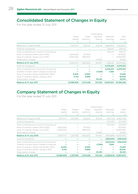# Consolidated Statement of Changes in Equity

For the year ended 31 July 2011

|                                             |            |           | Share based |           |            |
|---------------------------------------------|------------|-----------|-------------|-----------|------------|
|                                             | Share      | Share     | payment     | Retained  | Total      |
|                                             | capital    | premium   | reserve     | earnings  | equity     |
|                                             | £          | £         | £           | £         | £          |
| Balance at 1 August 2009                    | 7,547,577  | 65,000    | 30,076      | 1,280,604 | 8,923,257  |
| Profit for the period                       |            |           |             | 235,417   | 235,417    |
| Total comprehensive income for the period   |            |           |             | 235,417   | 235,417    |
| Issue of ordinary shares (April 2010)       | 1,600,000  | 317,500   |             |           | 1,917,500  |
| Issue of ordinary shares (July 2010)        | 3,920,000  | 980,000   |             |           | 4,900,000  |
| Share option charge                         |            |           | 54,831      |           | 54,831     |
| Balance at 31 July 2010                     | 13,067,577 | 1,362,500 | 84,907      | 1,516,021 | 16,031,005 |
| Profit for the period                       |            |           |             | 4,076,610 | 4,076,610  |
| Total comprehensive income for the period   |            |           |             | 4,076,610 | 4,076,610  |
| Transfer of share option charge on exercise |            |           | (7, 926)    | 7,926     |            |
| Issue of ordinary shares (December 2010)    | 8,200      | 5,060     |             |           | 13,260     |
| Issue of ordinary shares (January 2011)     | 11,132     | 6,868     |             |           | 18,000     |
| Share option charge                         |            |           | 30,351      |           | 30,351     |
| Balance at 31 July 2011                     | 13,086,909 | 1,374,428 | 107,332     | 5,600,557 | 20,169,226 |

# Company Statement of Changes in Equity

For the year ended 31 July 2011

|                                                                                                                                                                                                        | Share<br>capital<br>f  | Merger<br>reserve<br>f | Share<br>premium<br>£ | Share based<br>payment<br>reserve<br>f | Retained<br>earnings<br>£ | Total<br>equity<br>£                          |
|--------------------------------------------------------------------------------------------------------------------------------------------------------------------------------------------------------|------------------------|------------------------|-----------------------|----------------------------------------|---------------------------|-----------------------------------------------|
| Balance at 1 August 2009                                                                                                                                                                               | 7,547,577              | 2,357,816              | 65,000                | 30,076                                 | (537,701)                 | 9,462,768                                     |
| Loss for the period                                                                                                                                                                                    |                        |                        |                       |                                        | (272,197)                 | (272, 197)                                    |
| Total comprehensive income for the period<br>Issue of ordinary shares (April 2010)<br>Issue of ordinary shares (July 2010)<br>Share option charge                                                      | 1,600,000<br>3,920,000 |                        | 317,500<br>980,000    | 54,831                                 | (272,197)                 | (272,197)<br>1,917,500<br>4,900,000<br>54,831 |
| Balance at 31 July 2010                                                                                                                                                                                | 13,067,577             | 2,357,816              | 1,362,500             | 84,907                                 |                           | (809,898) 16,062,902                          |
| Loss for the period                                                                                                                                                                                    |                        |                        |                       |                                        | (256, 640)                | (256, 640)                                    |
| Total comprehensive income for the period<br>Transfer of share option charge on exercise<br>Issue of ordinary shares (December 2010)<br>Issue of ordinary shares (January 2011)<br>Share option charge | 8,200<br>11,132        |                        | 5,060<br>6,868        | (7,926)<br>30,351                      | (256, 640)<br>7,926       | (256, 640)<br>13,260<br>18,000<br>30,351      |
| Balance at 31 July 2011                                                                                                                                                                                | 13,086,909             | 2,357,816              | 1,374,428             | 107,332                                | $(1,058,612)$ 15,867,873  |                                               |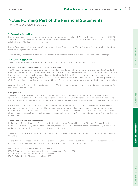# Notes Forming Part of the Financial Statements

For the year ended 31 July 2011

## 1. General information

Egdon Resources plc is a company incorporated and domiciled in England & Wales with registered number 06409716. The address of the registered office is The Wheat House, 98 High Street, Odiham, Hampshire RG29 1LP. The Company's administrative office is at the same address.

Egdon Resources plc (the "Company") and its subsidiaries (together, the "Group") explore for and develop oil and gas reserves in England and France.

The Company's shares are quoted on the Alternative Investment Market ("AIM") of the London Stock Exchange.

### 2. Accounting policies

The financial statements are based on the following accounting policies of Group and Company.

### Basis of preparation and statement of compliance with IFRS

The Group's financial statements have been prepared in accordance with International Financial Reporting Standards (IFRS) and with those parts of the Companies Act 2006 applicable to companies reporting under IFRS. IFRS comprises the Standards issued by the International Accounting Standards Board (IASB) and Interpretations issued by the International Financial Reporting Interpretations Committee (IFRIC) that have been endorsed by the European Union (EU). The principal accounting policies adopted by the Group and by the Company where applicable are set out below.

As permitted by Section 408 of the Companies Act 2006, no income statement or associated notes are presented for the Company as an entity.

### Going concern

The Directors have reviewed the budget, projected cash flows, considered committed expenditure and based on this review are confident that the Group will have adequate financial resources to continue in existence for the foreseeable future. Consequently the Directors consider it appropriate to prepare the financial statements on the going concern basis.

Based on current forecasts of production and revenues, the Group has sufficient funding to undertake its planned work programme and repay its existing debt. The Directors recognise that should circumstances change then some planned exploration and development work will need to be deferred or delayed until such time as additional funding is obtained either through revenues from production, asset disposals (sales or farm outs), the negotiation of a debt facility and/or the issue of shares.

### Adoption of new and revised standards

In the current financial year, the Group has adopted International Financial Reporting Standard 2 "Share-Based Payments" (revised 2009), International Accounting Standard 32 "Financial Instruments: Presentation" (revised 2009) and IFRIC 19 "Extinguishing financial liabilities with equity instruments".

The adoption of these standards and interpretation did not have any impact on the financial position or performance of the Group.

At the date of authorisation of these financial statements, the following relevant standards and interpretations which have not been applied in these financial statements were in issue but not yet effective:

IFRS 7 Financial Instruments: Disclosure (revised 2010)

- IFRS 9 Financial Instruments: Recognition and measurement (revised 2009)
- IAS 1 Presentation of Financial Statements (revised 2010)
- IAS 24 Related Party Disclosures (revised 2009)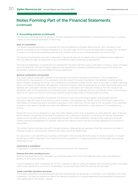### 2. Accounting policies (continued)

The Directors anticipate that the adoption of these Standards and Interpretations in future periods will have no material impact on the financial statements of the Group.

### Basis of consolidation

The Group financial statements incorporate the financial statements of Egdon Resources plc (the "Company") and entities controlled by the Company prepared to 31 July each year. Control is achieved where the Company has the power to govern the financial and operating policies of an investee entity so as to obtain benefits from its activities.

The results of subsidiaries acquired or disposed of during the year are included in the consolidated income statement from the effective date of acquisition or up to the effective date of disposal, as appropriate.

The financial statements of subsidiaries are prepared for the same reporting year as the parent company, using consistent accounting policies. All inter-company balances and transactions, including unrealised profits arising from them, are eliminated in preparing the consolidated financial statements.

#### Business combinations and goodwill

The Group uses the acquisition method of accounting to account for business combinations. The consideration transferred for the acquisition of a subsidiary is the fair value of the assets transferred, the liabilities incurred and the equity interests issued by the Group. The consideration transferred includes the fair value of any asset or liability resulting from a contingent consideration arrangement. Acquisition-related costs are expensed as incurred. Identifiable assets and liabilities and contingent liabilities assumed in a business combination are measured initially at their fair values at the acquisition date. On an acquisition by acquisition basis, the Group recognises any non-controlling interest in the acquiree either at fair value or at the non-controlling interest's proportionate share of the acquiree's net assets.

The excess of the consideration transferred, the amount of any non-controlling interest in the acquiree and the acquisition date fair value of any previous equity interest in the acquiree over the fair value of the Group's share of the identifiable net assets acquired is recorded as goodwill. If this is less than the fair value of the net assets of the subsidiary acquired in the case of a bargain purchase, the difference is recognised directly in the statement of comprehensive income.

Where the Group incurs obligations to pay net profit interest as part of an acquisition, the estimated fair value of the net profit interest is recognised at the date of acquisition. Any subsequent variations in the net profit interest arising from events occurring after acquisition are recognised through the income statement. Where the fair value of a net profit interest cannot be established (for example, because the relevant licence has yet to be fully appraised) no provision is recognised.

The value of options and any net profit interests arising on disposal are recognised at their fair value as at the date of disposal, except in circumstances where the fair value cannot be determined.

An acquisition is not classified as a business combination when an acquired entity does not have processes or outputs as defined by IFRS 3 (Revised). Such transactions are accounted for as asset acquisitions and the assets acquired are measured at cost.

### Investments in subsidiaries

Investments in subsidiaries are stated at cost less any provision for impairment.

#### Revenue and other operating income

Revenue represents amounts receivable for oil and gas sales, net of VAT and trade discounts, and is recognised on delivery to third party facilities.

Income charged to other companies net of VAT in respect of fees for acting as operator and consultancy fees is disclosed within other operating income and is recognised on an accruals basis when the services are provided.

#### Jointly controlled operations and assets

The Group's exploration and development activities are generally conducted as co-licensees in joint operation with other companies. The financial statements reflect the relevant proportions of capital expenditure and operating revenues and costs applicable to the Group's interest.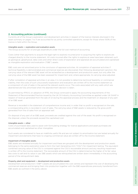### 2. Accounting policies (continued)

Currently all of the Group's exploration and development activities in respect of the licence interests disclosed in the asset summary on pages 7 to 11 are accounted for as jointly controlled operations, except for those where 100% of the licence is held within the Group.

### Intangible assets — exploration and evaluation assets

The Group accounts for oil and gas expenditure under the full cost method of accounting.

Costs (other than payments to acquire the legal right to explore) incurred prior to acquiring the rights to explore are charged directly to the income statement. All costs incurred after the rights to explore an area have been obtained, such as geological, geophysical, data costs and other direct costs of exploration and appraisal are accumulated and capitalised as intangible exploration and evaluation ("E&E") assets.

E&E costs are not amortised prior to the conclusion of appraisal activities. At completion of appraisal activities if technical feasibility is demonstrated and commercial reserves are discovered, then following development sanction, the carrying value of the relevant E&E asset will be reclassified as a development and production asset, but only after the carrying value of the E&E asset has been assessed for impairment and, where appropriate, its carrying value adjusted.

If after completion of appraisal activities in an area, it is not possible to determine technical feasibility or commercial viability, then the costs of such unsuccessful exploration and evaluation are written off to the income statement as a component of cost of sales in the period the relevant events occur. The costs associated with any wells which are abandoned are fully amortised when the abandonment decision is taken.

As permitted by IFRS 6, on adoption of IFRS, the Group continued to apply the accounting requirements of the Statement of Recommended Practice issued by the UK Oil Industry Accounting Committee as applied under UK GAAP in respect of revenue generated from the sale of oil during the appraisal process and the treatment on disposal of any part of an E&E asset.

Revenue is recorded in the statement of comprehensive income and, in order that no profit is recognised on the sale, a corresponding entry is recorded in cost of sales. The carrying value of E&E assets is reduced by the gross profit generated from the oil sales from an appraisal well.

On disposal of any part of an E&E asset, proceeds are credited against the cost of the asset. No profit is recognised on the disposal, unless the proceeds exceed the capitalised cost.

#### Intangible assets — other

Costs of purchased data used to assist with formulating strategy for licence applications and asset purchases are accumulated and capitalised as other intangibles.

Such assets are considered to have an indefinite useful life and are not subject to amortisation but are tested annually for impairment and elements that have no ongoing commercial value are written off to the income statement.

#### Impairment of intangible assets

E&E assets are reviewed annually for impairment and these are grouped with the development and production assets belonging to the same exploration area to form the Cash Generating Unit ("CGU") for impairment testing. The equivalent combined carrying value of the CGU is compared against the CGU's recoverable amount and any resulting impairment is written off to the income statement. The recoverable amount of the CGU is determined as the higher of its fair value less costs to sell and its value in use. E&E assets which are relinquished are written down immediately in the accounting period of the relinquishment date.

### Property, plant and equipment — development and production assets

Development and production ("D&P") assets are accumulated into cost centres and represent the cost of developing the commercial reserves and bringing them into production together with the E&E expenditures previously transferred from E&E assets as outlined in the policy above.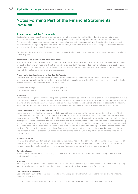### 2. Accounting policies (continued)

Costs relating to each cost centre are depleted on a unit of production method based on the commercial proven and probable reserves for that cost centre. Development assets are not depreciated until production commences. The depreciation calculation takes account of the residual value of site equipment and the estimated future costs of development of recognised proven and probable reserves, based on current price levels. Changes in reserve quantities and cost estimates are recognised prospectively.

On disposal of any part of a D&P asset, proceeds are credited to the income statement, less the percentage cost relating to the disposal.

### Impairment of development and production assets

A review is performed for any indication that the value of the D&P assets may be impaired. For D&P assets when there are such indications, an impairment test is carried out on the CGU. Additional depletion is included within cost of sales within the income statement if the capitalised costs of the CGU exceed the associated estimated future discounted cash flows of the related commercial oil and gas reserves.

### Property, plant and equipment — other than D&P assets

Property, plant and equipment other than D&P assets are stated in the statement of financial position at cost less accumulated depreciation. Depreciation is provided at rates calculated to write off the cost less estimated residual values of each asset over its expected useful life, as follows:

| Fixtures and fittings | 25% straight line |
|-----------------------|-------------------|
| Computer equipment    | 33% straight line |

### Provisions

Provisions are recognised when the Group has a present obligation as a result of a past event which it is probable will result in an outflow of economic benefits that can be estimated with reasonable certainty. If the effect of the time value of money is material, provisions are discounted using a pre tax rate that reflects, where appropriate, the risks specific to the liability. When discounting is used, the increase in the provision due to the passage of time is recognised as a finance cost.

### Decommissioning and reinstatement provisions

Licensees have an obligation to restore fields to a condition acceptable to the relevant authorities at the end of their commercial lives. Provision for decommissioning and reinstatement is recognised in full as a liability and an asset when the obligation arises. The asset is included within exploration and evaluation assets or property, plant and equipment as is appropriate. The liability is included within provisions. The amount recognised is the estimated cost of decommissioning and reinstatement, discounted where appropriate to its net present value, and is reassessed each year in accordance with local conditions and requirements. Revisions to the estimated costs of decommissioning and reinstatement which alter the level of the provisions required are also reflected in adjustments to the decommissioning and reinstatement asset. The increase in the net present value of the future cost arising from the unwinding of the discount is included within finance costs.

### Foreign currencies

Transactions denominated in foreign currencies are translated into Sterling at the rate of exchange ruling at the date of the transaction. Monetary assets and liabilities in foreign currencies are translated into Sterling at the rate of exchange ruling at the end of the financial year. All exchange differences are dealt with in the income statement.

### Operating leases

Rentals under operating leases are charged on a straight line basis over the lease term, even if the payments are not made on such a basis.

#### Inventory

Inventory is stated at the lower of cost and net realisable value. Cost is calculated annually based on the ratio of closing stock to total annual production and the cost of production (including depreciation) for the year.

#### Cash and cash equivalents

Cash and cash equivalents comprise cash held by the Group and short term bank deposits with an original maturity of three months or less.

The cash and cash equivalent amount in the Statements of Cash Flow includes overdrafts where relevant.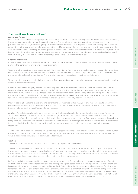# 2. Accounting policies (continued)

### Assets held for sale

Non-current assets and disposal groups are classified as held for sale if their carrying amount will be recovered principally through a sale transaction rather than continuing use. This condition is regarded as met only when a sale is highly probable and the asset (or disposal group) is available for immediate sale in its present condition. Management must be committed to the sale which should be expected to qualify for recognition as a completed sale within one year from the date of classification. Disposal groups are groups of assets, and liabilities directly associated with those assets, that are to be disposed of together as a group in a single transaction. Non-current assets (and disposal groups) classified as held for sale are initially measured at the lower of carrying value and fair value less costs to sell.

### Financial instruments

Financial assets and financial liabilities are recognised on the statement of financial position when the Group becomes a party to the contractual provisions of the instrument.

Trade and other receivables are measured at initial recognition at fair value and are subsequently measured at amortised cost using the effective interest method. A provision is established when there is objective evidence that the Group will not be able to collect all amounts due. The provision amount is recognised in the income statement.

Trade and other payables are initially measured at fair value, and are subsequently measured at amortised cost, using the effective interest rate method.

Financial liabilities and equity instruments issued by the Group are classified in accordance with the substance of the contractual arrangements entered into and the definitions of a financial liability and an equity instrument. An equity instrument is any contract that evidences a residual interest in the assets of the Group after deducting all of its liabilities. Equity instruments issued by the Company are recorded at the proceeds received, net of direct issue costs. Equity issued for non-monetary consideration is recorded at the fair value of the equity instruments issued.

Interest bearing bank loans, overdrafts and other loans are recorded at fair value, net of direct issue costs, when the proceeds are received and subsequently at amortised cost. Finance costs are accounted for on an accruals basis in the income statement using the effective interest method.

Available for sale financial assets are those non-derivative financial assets that are designated as available for sale or are not classified as financial assets at fair value through profit and loss, held to maturity investments or loans and receivables. After initial recognition available for sale financial assets are measured at fair value with gains or losses being recognised as a separate component of equity until the investment is derecognised or until the investment is determined to be impaired at which time the cumulative gain or loss previously reported in equity is included in the income statement.

The fair value of investments that are actively traded in organised financial markets is determined by reference to quoted market bid prices at the close of business on the reporting date. For investments where there is no active market, fair value is determined using appropriate valuation techniques.

### Taxation

The tax expense represents the sum of the tax currently payable and any deferred tax.

The tax currently payable is based on the taxable profit for the year. Taxable profit differs from net profit as reported in the income statement because it excludes items of income or expense that are taxable or deductible in other years and it further excludes items that are never taxable or deductible. The Company's liability for current tax is calculated using tax rates that have been enacted or substantially enacted by the reporting date.

Deferred tax is the tax expected to be payable or recoverable on differences between the carrying amounts of assets and liabilities in the financial statements and the corresponding tax bases used in the computation of taxable profit, and is accounted for using the balance sheet liability method. Deferred tax liabilities are generally recognised for all taxable temporary differences and deferred tax assets are recognised to the extent that it is probable that taxable profits will be available against which deductible temporary differences can be utilised. Such assets and liabilities are not recognised if the temporary difference arises from goodwill or from the initial recognition (other than in a business combination) of other assets and liabilities in a transaction that affects neither the taxable profit nor the accounting profit.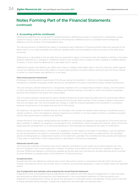### 2. Accounting policies (continued)

Deferred tax liabilities are recognised for taxable temporary differences arising on investments in subsidiaries, except where the Group is able to control the reversal of the temporary difference and it is probable that the temporary difference will not reverse in the foreseeable future.

The carrying amount of deferred tax assets is reviewed at each statement of financial position date and reduced to the extent that it is no longer probable that sufficient taxable profits will be available to allow all or part of the asset to be recovered.

Deferred tax is calculated at the tax rates that are expected to apply in the period when the liability is settled or the asset realised. Deferred tax is charged or credited to profit or loss, except when it relates to items charged or credited directly to equity, in which case the deferred tax is also dealt with in equity.

Deferred tax assets and liabilities are offset when there is a legally enforceable right to set off current tax assets against current tax liabilities and when they relate to income taxes levied by the same taxation authority and the Group intends to settle its current assets and liabilities on a net basis.

### Share based payment transactions

Employees (including senior executives) of the Group receive remuneration in the form of share based payment transactions, whereby employees render services as consideration for equity instruments (equity settled transactions).

The cost of equity settled transactions is recognised, together with a corresponding increase in equity, over the period in which the performance and or service conditions are fulfilled, ending on the date on which the relevant employees become fully entitled to the award (the vesting date).

The cumulative expense recognised for equity settled transactions at each reporting date until the vesting date reflects the extent to which the vesting period has expired and the Group's best estimate of the number of equity instruments that will ultimately vest. The income statement charge or credit for a period represents the movement in cumulative expense recognised as at the beginning and end of that period.

No expense is recognised for awards that do not ultimately vest, except for awards where vesting is conditional upon a market condition, which are treated as vesting irrespective of whether or not the market condition is satisfied, provided that all other performance conditions are satisfied.

Where the terms of an equity settled award are modified, as a minimum an expense is recognised as if the terms had not been modified. In addition, an expense is recognised for any modification, which increases the total fair value of the share based payment arrangement, or is otherwise beneficial to the employee as measured at the date of modification.

Where an equity settled award is cancelled, it is treated as if it had vested on the date of cancellation, and any expense not yet recognised for the award is recognised immediately. However, if a new award is substituted for the cancelled award, and designated as a replacement award on the date that is granted, the cancelled and new awards are treated as if they were a modification of the original award, as described in the previous paragraph.

### Retirement benefit costs

The Group has a defined contribution plan which requires contributions to be made into an administered fund. The amount charged to the income statement in respect of pension costs reflects the contributions payable in respect of the year. Differences between contributions payable during the year and contributions actually paid are shown as either accrued liabilities or prepaid assets in the statement of financial position.

### Exceptional items

Exceptional items are defined as material items which derive from events or transactions that fall within the Group's ordinary activities but which, due to their size or incidence, are disclosed separately in order to present fairly the reported results.

### Use of judgements and estimates when preparing the annual financial statements

Preparation of the consolidated financial statements in accordance with IFRS requires management to make estimates and assumptions affecting recognition and measurement in the consolidated statement of financial position and statement of comprehensive income, as well as the disclosure of contingent assets and liabilities. Future events may lead to these estimates being changed. In particular, judgements and estimates are required when: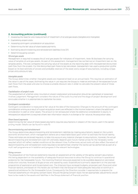# 2. Accounting policies (continued)

- Assessing the need for and measurement of impairment of oil and gas assets (tangible and intangible)
- **Capitalising project costs**
- **Assessing contingent consideration on acquisition**
- **•**  Determining the fair value of share based payments
- **Estimating decommissioning and reinstatement liabilities (note 27)**
- **Determining going concern**

### *Oil and gas assets*

Management is required to assess the oil and gas assets for indicators of impairment. Note 18 discloses the carrying value of tangible oil and gas assets. As part of this assessment, management has carried out an impairment test on the tangible assets. This test compares the carrying value of the assets at the reporting date with the expected discounted cash flow from the project. For the discounted cash flows to be calculated, management has used a production profile based on its best estimate of proven and probable reserves of the asset and a range of assumptions, including oil/gas prices and a discount rate.

### *Intangible assets*

The Group determines whether intangible assets are impaired at least on an annual basis. This requires an estimation of the value in use of the asset. Estimating the value in use requires the Group to make an estimate of the expected future cash flows from the asset and also to choose a suitable discount rate in order to calculate the present value of those cash flows.

### *Capitalisation of project costs*

The assessment of whether costs incurred on project exploration and evaluation should be capitalised or expensed involves judgement. Management considers the nature of the costs incurred and the stage of project development and concludes whether it is appropriate to capitalise the costs.

### *Contingent consideration*

Contingent consideration is measured at fair value at the date of the transaction. Changes to the amount of the contingent consideration arising as a result of a post-acquisition event are reflected in the income statement where the additional consideration is cash or other assets. The amount is not remeasured where the additional consideration is equity. A retrospective adjustment is required where new information results in a change to fair value at the acquisition date.

### *Share based payments*

Determining the fair value of share based payments requires assumptions in respect of the inputs used in the option pricing model. Details can be found in note 10.

### *Decommissioning and reinstatement*

The Group determines decommissioning and reinstatement liabilities by making assumptions, based on the current economic environment, which management believe are a reasonable basis upon which to estimate the future liability. These estimates are reviewed regularly to take into account any material changes to assumptions. However, the actual decommissioning and reinstatement cost will ultimately depend upon future market prices for the necessary works required which will reflect market conditions at the relevant time. Furthermore, actual costs will also reflect the extent of decommissioning and reinstatement work required to be performed, whether the works can be performed as part of a multi well programme or in isolation and progress in the relevant technologies.

### *Going concern*

The preparation of the financial statements requires an assessment of the validity of the going concern assumption, this being dependent on the availability of adequate financial resources to allow the Group to continue in operational existence for the foreseeable future. The incoming financial resources expected to be available depend on estimated production volumes, forecast oil & gas prices and operating costs. Expenditure is primarily dependent on the planned programme of exploration and its estimated cost. The Directors have reviewed budgets, projected cash flows and other financial options, and based on this review are confident that the Group will have adequate resources to continue in operational existence for the foreseeable future. Consequently the Directors consider it appropriate to prepare the financial statements on the going concern basis. Should the going concern basis not be appropriate, adjustments would have to be made to the assets and liabilities in the Group statement of financial position.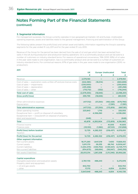# 3. Segmental information

For management purposes, the Group currently operates in two geographical markets: UK and Europe. Unallocated operating expenses, assets and liabilities relate to the general management, financing and administration of the Group.

The following tables present the profit/(loss) and certain asset and liability information regarding the Group's operating segments for the year ended 31 July 2011 and for the year ended 31 July 2010.

Revenue of the Group for the period has been derived from the sale of oil and gas which has been extracted from wells in the UK during production and production testing operations. Oil is a commodity product and can be sold to a number of customers on industry-standard terms. For reasons of operational convenience, 78% (2010: 93%) of oil sales in the year were made to one organisation. Gas is a commodity product and can be sold to a number of customers on industry-standard terms. For contractual reasons, 87% of gas sales in the year were made to one organisation (2010: no production).

### 2011

|                                                                     | UK                |           | <b>Europe Unallocated</b> |                             |
|---------------------------------------------------------------------|-------------------|-----------|---------------------------|-----------------------------|
|                                                                     | £                 | £         | £                         | £                           |
| Revenue                                                             | 2,379,150         |           |                           | 2,379,150                   |
| Cost of sales - exploration costs written off and pre-licence costs | (642, 385)        | (18, 314) |                           | (660, 699)                  |
| Cost of sales $-$ impairments                                       | (230,000)         |           |                           | (230,000)                   |
| Cost of sales - depreciation                                        | (491, 258)        |           |                           | (491, 258)                  |
| Cost of sales $-$ other                                             | (715, 712)        | (532)     |                           | (716, 244)                  |
| <b>Total cost of sales</b>                                          | (2,079,355)       | (18, 846) |                           | (2,098,201)                 |
| Gross profit/(loss)                                                 | 299,795           | (18, 846) |                           | 280,949                     |
|                                                                     |                   |           |                           |                             |
| Other administrative expenses                                       | (477,112)         | (37, 250) | (165, 428)                | (679, 790)                  |
| Depreciation                                                        |                   |           | (7, 391)                  | (7, 391)                    |
| <b>Total administrative expenses</b>                                | (477,112)         | (37, 250) | (172, 819)                | (687,181)                   |
| Other operating income                                              | 223,843           | 1,710     |                           | 225,553                     |
| Exceptional item - profit on disposal of subsidiary                 |                   | 4,338,290 |                           | 4,338,290                   |
| Exceptional item $-$ (loss)/profit on disposal of property,         |                   |           |                           |                             |
| plant and equipment                                                 | (648)             |           |                           | (648)                       |
| <b>Total</b>                                                        | 45,878            | 4,283,904 | (172, 819)                | 4,156,963                   |
| Finance income                                                      |                   |           | 41,505                    | 41,505                      |
| Finance costs                                                       | (33, 153)         | (1, 582)  | (87, 123)                 | (121, 858)                  |
| Profit/(loss) before taxation                                       | 12,725            | 4,282,322 | (218, 437)                | 4,076,610                   |
| Taxation                                                            |                   |           |                           |                             |
| Profit/(loss) for the period                                        | 12,725            | 4,282,322 | (218, 437)                | 4,076,610                   |
| Other segment information                                           |                   |           |                           |                             |
| Non-current assets                                                  | 16, 171, 293      | 1,647,319 | 7,400                     | 17,826,012                  |
| Current assets                                                      | 5,911,170         | 29,335    | 68,742                    | 6,009,247                   |
| Current liabilities                                                 | (1, 254, 474)     | (340,702) |                           | $(1,130,541)$ $(2,725,717)$ |
| Non-current liabilities                                             | (814, 675)        | (68, 694) | (56, 947)                 | (940, 316)                  |
| Net assets/(liabilities)                                            | 20,013,314        | 1,267,258 |                           | $(1,111,346)$ 20,169,226    |
|                                                                     |                   |           |                           |                             |
| <b>Capital expenditure</b>                                          |                   |           |                           |                             |
| Intangible exploration and evaluation assets                        | 2,787,735         | 488,243   |                           | 3,275,978                   |
| Property, plant and equipment                                       |                   |           |                           |                             |
| - oil and gas assets<br>$-$ other                                   | 842,744<br>17,170 |           | 4,834                     | 842,744<br>22,004           |
|                                                                     |                   |           |                           |                             |
|                                                                     | 3,647,649         | 488,243   | 4,834                     | 4,140,726                   |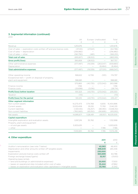# 3. Segmental information (continued)

2010

|                                                                     | UK          | Europe Unallocated |                          | Total       |
|---------------------------------------------------------------------|-------------|--------------------|--------------------------|-------------|
|                                                                     | F           | £                  | F                        | £           |
| Revenue                                                             | 1,251,676   |                    |                          | 1,251,676   |
| Cost of sales - exploration costs written off and pre-licence costs | (37,145)    | (27, 641)          |                          | (64, 786)   |
| Cost of sales - depreciation                                        | (256, 882)  |                    |                          | (256, 882)  |
| Cost of sales $-$ other                                             | (561,790)   | (461)              |                          | (562, 251)  |
| <b>Total cost of sales</b>                                          | (855, 817)  | (28,102)           | $\qquad \qquad$          | (883,919)   |
| Gross profit/(loss)                                                 | 395,859     | (28,102)           | $\overline{\phantom{0}}$ | 367,757     |
| Other administrative expenses                                       | (377, 497)  | (19, 339)          | (263, 047)               | (659, 883)  |
| Depreciation                                                        |             |                    | (8,464)                  | (8,464)     |
| <b>Total administrative expenses</b>                                | (377, 497)  | (19, 339)          | (271,511)                | (668, 347)  |
| Other operating income                                              | 168,622     | 6,706              | (531)                    | 174,797     |
| Exceptional item $-$ profit on disposal of property,                |             |                    |                          |             |
| plant and equipment                                                 | 388,881     |                    |                          | 388,881     |
|                                                                     | 575,865     | (40,735)           | (272, 042)               | 263,088     |
| Finance income                                                      | 1,156       |                    |                          | 1,156       |
| Finance costs                                                       | (25, 698)   | (3,016)            |                          | (28,714)    |
| Profit/(loss) before taxation                                       | 551,323     | (43,751)           | (272, 042)               | 235,530     |
| Taxation                                                            | (113)       |                    |                          | (113)       |
| Profit/(loss) for the period                                        | 551,210     | (43,751)           | (272, 042)               | 235,417     |
| <b>Other segment information</b>                                    |             |                    |                          |             |
| Non-current assets                                                  | 14,273,473  | 1,174,768          | 6,655                    | 15,454,896  |
| Current assets                                                      | 3,033,408   | 35,130             | 71.793                   | 3,140,331   |
| Current liabilities                                                 | (1,551,145) | (16, 257)          | (80, 910)                | (1,648,312) |
| Non-current liabilities                                             | (760, 065)  | (65,150)           | (90, 695)                | (915, 910)  |
| Net assets                                                          | 14,995,671  | 1,128,491          | (93,157)                 | 16,031,005  |
| <b>Capital expenditure</b>                                          |             |                    |                          |             |
| Intangible exploration and evaluation assets                        | 1,097,216   | 35,782             |                          | 1,132,998   |
| Property, plant and equipment                                       |             |                    |                          |             |
| $-$ oil and gas assets                                              | 5,933,635   |                    |                          | 5,933,635   |
| $-$ other                                                           |             |                    | 7,785                    | 7,785       |
|                                                                     | 7,030,851   | 35,782             | 7,785                    | 7,074,418   |

# 4. Other expenditure

?

|                                                                               | 2011    | 2010      |
|-------------------------------------------------------------------------------|---------|-----------|
|                                                                               | £       |           |
| Auditor's remuneration (see note 7 below)                                     | 42,063  | 48.400    |
| Depreciation and other amounts written off tangible assets                    | 498,649 | 265.346   |
| Impairments                                                                   | 230,000 |           |
| Exploration and pre-licence costs written off                                 | 660,699 | 64.786    |
| Foreign exchange losses/(gains)                                               | 32.157  | (31, 613) |
| Operating lease rentals                                                       |         |           |
| - land and buildings (in administrative expenses)                             | 25,000  | 17.500    |
| - leases on operational sites included within cost of sales                   | 35,444  | 47,862    |
| - leases on exploration and evaluation sites capitalised in intangible assets | 33,760  | 21,342    |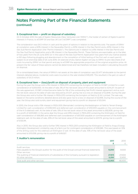### 5. Exceptional item — profit on disposal of subsidiary

On 5 October 2010 the sale of Egdon Resources (New Ventures) Ltd ("ERNV"), the holder of certain of Egdon's permit interests in France, to eCORP Oil and Gas UK Ltd ("eCORP") was completed.

The consideration was £4.5 million in cash and the grant of options in relation to the permits sold. The assets of ERNV at completion were a 60% interest in the Navacelles Permit, a 40% interest in the Gex Permit and a 40% interest in the Gex Sud Permit Application (the "Permit Interests"). The Options are in relation to a 6% interest in the Gex Permit and the Gex Sud Permit Application and a 9% interest in the Navacelles Permit. These Options are exercisable up to the later of two years from the 23 June 2010 (or in the case of the Gex Sud Permit Application two years from any licence award) or 60 days following plugging and abandonment or the completion of initial testing of the first well on each permit, subject to an end-stop date of 23 June 2015. On exercise of any Option Egdon will pay to ERNV its pro-rata share of all costs incurred by ERNV on that permit and pay to eCORP the appropriate proportion of the original acquisition price. At present the fair value of these options cannot be determined and has therefore not been included in calculating the profit on disposal.

On a consolidated basis, the value of ERNV's net assets at the date of completion was £12,477 attributable to the permit interests detailed above. Incidental costs were incurred on the sale totalled £149,233. This resulted in the gain on sale of subsidiary of £4.3 million.

### 6. Exceptional item — (loss)/profit on disposal of property, plant and equipment

During the year the Group sold a 5% interest in PEDL070 containing the Avington oil field to IS E&P Limited for a cash consideration of £200,000. At the date of sale, 5% of the net book value of this asset amounted to £214,217. As part of the sale agreement, IS E&P Limited became liable for 5% of the outstanding Net Profit Interest agreement and as such the net book value at the date of sale was reduced by £11,371, giving rise to a loss on disposal of £2,846. During the year the Group also sold a further 5% interest in PEDL070 containing the Avington oil field to IS NV Limited. The sale was based on the same conditions detailed above and also gave rise to a loss on disposal of £2,846. During the course of the year, the Group also sold sundry plant and equipment giving rise to a profit on disposal of £5,044.

In 2010, the Group sold a 15% interest in PEDL005 (Remainder) containing the Keddington oil field to Terrain Energy Limited for cash consideration of £236,500 and deferred cash consideration of £50,000 payable on the commencement of the K-3 sidetrack well. At the date of sale, 15% of the net book value of this asset amounted to £82,838, giving rise to a profit of £203,663. In the same deal the Group sold 25% interest in PEDL203 containing the Kirklington oil field for cash consideration of £66,865 and deferred cash consideration of £87,500 payable on commencement of the Kirklington sidetrack well. At the date of sale, 25% of the net book value of this asset amounted to £21,174, giving rise to a profit of £133,191.

Also in 2010, the Group also sold a further 10% interest in PEDL203 containing the Kirklington oil field to Angus Energy Kirklington Development Limited by way of a farm-out for contingent consideration of £59,585. This was based on 10% of the drilling costs for the sidetrack at Kirklington 2 well. At the date of sale, 10% of the net book value of the asset amounted to £10,058, giving rise to a profit of £49,527.

## 7. Auditor's remuneration

|                                                                                              | 2011   | 2010   |
|----------------------------------------------------------------------------------------------|--------|--------|
|                                                                                              |        |        |
| Audit services:                                                                              |        |        |
| Fees payable to the Group's auditor for the audit of the Group's annual financial statements | 9.200  | 9.000  |
| Other services:                                                                              |        |        |
| The auditing of financial statements of subsidiaries of the Company pursuant to legislation  | 27.613 | 27.000 |
| All other services                                                                           | 5,250  | 12.400 |
| Total audit and other services                                                               | 42.063 | 48.400 |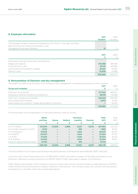# 8. Employee information

|                                                                            | 2011          | 2010    |
|----------------------------------------------------------------------------|---------------|---------|
|                                                                            | <b>Number</b> | Number  |
| The average number of persons employed by the Group in the year, including |               |         |
| Executive and Non-Executive Directors, was:                                |               |         |
| Management and administration                                              | 12            |         |
|                                                                            |               |         |
|                                                                            | 2011          | 2010    |
|                                                                            | £             |         |
| Employee costs during the year amounted to:                                |               |         |
| Wages and salaries                                                         | 519,386       | 394,418 |
| Social security costs                                                      | 61,541        | 44,990  |
| Share based remuneration charges                                           | 30,351        | 54,831  |
| Pension costs                                                              | 15,008        | 10,838  |
|                                                                            | 626,286       | 505,077 |

### 9. Remuneration of Directors and key management

The board considers that the group and company's key management comprises the directors of the company

|                                                           | 2011    | 2010    |
|-----------------------------------------------------------|---------|---------|
| Group and company                                         |         |         |
| Directors' emoluments                                     | 277,301 | 235.507 |
| Employers national insurance contributions                | 28,518  | 23,283  |
| Short term employment benefits                            | 305,819 | 258.790 |
| Post employment benefits                                  | 6,875   | 6.000   |
| Share based remuneration charge attributable to Directors |         | 12,434  |
|                                                           | 312.694 | 277.224 |

The emoluments and compensation of individual Directors were as follows:

|                                | <b>Salary</b> |              |                | <b>Insurance</b> |                          | <b>Total</b> | Total   |
|--------------------------------|---------------|--------------|----------------|------------------|--------------------------|--------------|---------|
|                                | and fees      | <b>Bonus</b> | <b>Medical</b> | <b>benefits</b>  | Pension                  | 2011         | 2010    |
|                                | £             | £            | £              | £                | £                        | £            | £       |
| M A W Abbott                   | 137,500       | 12,000       | 2,898          | 8,221            | 6,875                    | 167,494      | 130,322 |
| A D Hindle (resigned 1.2.2011) | 7.500         |              |                | 385              | -                        | 7,885        | 16.237  |
| P H P Stephens                 | 37,500        |              |                | 1.024            | $\overline{\phantom{a}}$ | 38,524       | 38,737  |
| K M Ratcliff                   | 22,500        |              |                | 1.024            | $\overline{\phantom{a}}$ | 23,524       | 23,737  |
| JGRRix                         | 15,000        |              |                | 1.024            | $\overline{\phantom{a}}$ | 16.024       | 16,237  |
| W R Roberts                    | 15,000        |              |                | 1.024            | $\overline{\phantom{a}}$ | 16.024       | 16,237  |
| A Booth (appointed 28.7.2010)  | 13,750        |              |                | 951              | $\overline{\phantom{a}}$ | 14,701       |         |
|                                | 248,750       | 12,000       | 2.898          | 13.653           | 6.875                    | 284,176      | 241,507 |

The emoluments of the highest paid Director excluding pension contributions were £160,619 (2010: £124,322).

Life policy and critical illness premiums of £7,198 (2010: £1,842) were paid in respect of the Executive Director and Directors' indemnity insurance premiums of £6,455 (2010: £7,422) were paid in respect of all Directors.

MAW Abbott participated in the Company's pension scheme (see note 11) and the Company made payments of £6,875 (2010: £6,000) during the period in respect of pension contributions. The Company does not currently provide pension arrangements or benefits other than as described above.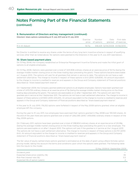### 9. Remuneration of Directors and key management (continued)

Directors' share options outstanding at 31 July 2011 and at 31 July 2010

|              | Exercise | Number |                                      | Date First date |
|--------------|----------|--------|--------------------------------------|-----------------|
|              |          |        | price of options granted of exercise |                 |
| M A W Abbott | 16.17 p  |        | 618,429 12/05/2008 01/08/2010        |                 |
|              |          |        |                                      |                 |

No Director is entitled to receive any shares under the terms of any long term incentive scheme in respect of qualifying services other than as noted above. No options were granted to the Directors in the year to 31 July 2011 (see below).

### 10. Share based payment plans

On 13 May 2008, the Company established an Enterprise Management Incentive Scheme and made the initial grant of options to all eligible employees.

On 13 May 2008, Options were granted over a total of 1,631,908 ordinary shares at an exercise price of 16.17p (being the average middle-market closing price on the three trading days preceding the grant). These options became exercisable on 1 August 2010. The options will vest for all grantees that remain in service to date. The options do not have a cash settlement alternative. The charge to income in respect of these options is £nil (2010: £29,606). An amount equivalent to the charge to income is credited to reserves and appears in the Group and Company statement of financial positions described as "share based payment reserve".

On 1 September 2009, the Company granted additional options to all eligible employees. Options have been granted over a total of 1,470,724 ordinary shares at an exercise price of 11p (being the average middle-market closing price on the three trading days preceding the grant). The options are exercisable on or after 1 September 2011. The options will vest if the grantees are in service at the 1 September 2011. The options do not have a cash settlement alternative. The charge to income in respect of these options is £27,650 (2010: £25,225). An amount equivalent to the charge to income is credited to reserves and appears in the Group and Company statement of financial positions described as "share based payment reserve".

In the year to 31 July 2010, 176,252 options were forfeited in respect of the May 2008 options granted, when an eligible employee left the company.

During the year to 31 July 2011, two employees have exercised their options granted in May 2008 over 193,320 shares. At the end of the year there are options granted over a total of 1,262,336 (2010: 1,455,656) ordinary shares in respect of the May 2008 options.

On 1 February 2011, options have been granted over a total of 298,804 ordinary shares at an exercise price of 20.08p (being the average middle-market closing price on the three trading days preceding the grant) to a new employee. The options are exercisable on or after 1 August 2013. The options will vest if the grantee is in service at the 1 August 2013. The options do not have a cash settlement alternative. The charge to income in respect of these options is £2,701 (2010: £nil). An amount equivalent to the charge to income is credited to reserves and appears in the Group and Company statement of financial positions described as "share based payment reserve".

The fair value of equity settled share options granted is estimated as at the date of grant using a Black-Scholes option pricing model, taking into account the terms and conditions upon which the options were granted. The following table lists the inputs to the model.

13 May 2008 & 1 September 2009

| Expected share price volatility (%) |     |
|-------------------------------------|-----|
|                                     | 35  |
| Risk-free interest rate (%)         | 5.5 |
| Expected life of option (years)     |     |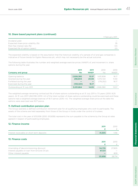### 10. Share based payment plans (continued)

|                                     | 1 February 2011 |
|-------------------------------------|-----------------|
| Dividend yield                      |                 |
| Expected share price volatility (%) | 35              |
| Risk-free interest rate (%)         | 05              |
| Expected life of option (years)     | クら              |

The expected volatility is based on the assumption that the historical volatility of a sample of oil and gas companies is indicative of future trends for Egdon Resources plc, which may not necessarily be the actual outcome.

The following table illustrates the number and weighted average exercise prices (WAEP) of, and movement in, share options during the year.

| Company and group           | 2011<br><b>No</b> | 2011<br><b>WAEP</b> | 2010<br>No | 2010<br>WAFP |
|-----------------------------|-------------------|---------------------|------------|--------------|
| Opening balance             | 2,926,380         | 13.57               | 1.631.908  | 16.17        |
| Granted during the year     | 298,804           | 20.08               | 1.470.724  | 11.00        |
| Forfeited during the year   |                   |                     | (176.252)  | 16.17        |
| Exercised during the year   | (193.320)         | 16.17               |            |              |
| Outstanding at 31 July 2011 | 3,031,864         | 14.05               | 2.926.380  | 13.57        |

The weighted average remaining contractual life of share options outstanding as at 31 July 2011 is 7.5 years (2010: 8.25 years). At 31 July 2011 1,262,336 (2010: nil) of the total number of share options outstanding could be exercised and these options had a weighted average exercise of 16.17 pence (2010: nil). The weighted average share price at the date the options were exercised was 16.17 pence.

### 11. Defined contribution pension plan

The Group operates a defined contribution retirement plan for all qualifying employees who wish to participate. The assets of the scheme are held separately from those of the Group in funds under the control of trustees.

The total cost in the year of £15,008 (2010: £10,838) represents the sum payable to the scheme by the Group at rates agreed in respect of participating employees.

## 12. Finance income

|                                            | 2011   | 2010 |
|--------------------------------------------|--------|------|
|                                            |        |      |
| Interest receivable on short term deposits | 41.505 | 1156 |

### 13. Finance costs

|                                              | 2011    | 2010                     |
|----------------------------------------------|---------|--------------------------|
|                                              |         |                          |
| Unwinding of decommissioning discount        | 34.735  | 27.905                   |
| Interest payable on loan from EnCore Oil plc | 87,123  | $\overline{\phantom{a}}$ |
| Other interest payable                       |         | 809                      |
|                                              | 121.858 | 28.714                   |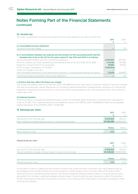### 14. Income tax

The major components of income tax expense for the years ended 31 July 2011 and 2010 are:

|                                                                                            | 2011        | 2010      |
|--------------------------------------------------------------------------------------------|-------------|-----------|
|                                                                                            | £           |           |
| a) Consolidated income statement                                                           |             |           |
| Current income tax charge                                                                  |             | 113       |
|                                                                                            |             |           |
| b) A reconciliation between tax expense and the product of the accounting profit and the   |             |           |
| standard rate of tax in the UK for the years ended 31 July 2011 and 2010 is as follows:    |             |           |
| Accounting profit before tax from continuing operations                                    | 4,076,610   | 235.530   |
| Profit on ordinary activities multiplied by the standard rate of tax of 27.33% (2010: 28%) | 1,114,138   | 65.948    |
| Expenses not permitted for tax purposes                                                    | 18,898      | 25.052    |
| Profit on sale of subsidiary not taxable                                                   | (1,185,654) |           |
| Impact of change in tax rate                                                               |             |           |
| Carry forward/(utilisation) of tax losses and movement in unrecognised deferred tax assets | 52,618      | (90, 887) |
| Income tax expense reported in the income statement                                        |             | 113       |

### c) Factors that may affect the future tax charge:

The Group has trading losses of £21,167,766 (2010: £20,888,574) which may reduce future tax charges. Future tax charges may also be reduced by capital allowances on cumulative capital expenditure, supplementary allowance on ring-fenced exploration expenditure and the extent to which any profits are generated by any ring-fenced activities, which attract a higher rate of tax.

### d) Deferred taxation

The Group has an unrecognised deferred taxation asset of £1,576,084 (2010: £1,752,321) at the year end, calculated at a rate of 27.33%. This is represented by accumulated tax losses of £5,785,150 (2010: £5,848,802) offset by accelerated capital allowances of £4,209,066 (2010: £4,096,481).

### 15. Earnings per share

|                                                                                                        | 2011<br>£                | 2010<br>£             |
|--------------------------------------------------------------------------------------------------------|--------------------------|-----------------------|
| Net profit for the financial year<br>Basic weighted average ordinary shares in issue during the year   | 4,076,610<br>130,786,388 | 235,417<br>80,882,893 |
|                                                                                                        | <b>Pence</b>             | Pence                 |
| Basic profit per share                                                                                 | 3.12                     | 0.29                  |
| Diluted profit per share                                                                               | 2011<br>£                | 2010<br>£             |
| Net profit for the financial year<br>Diluted weighted average ordinary shares in issue during the year | 4,076,610<br>131,349,668 | 235,417<br>80,887,969 |
|                                                                                                        | Pence                    | Pence                 |
| Diluted profit per share                                                                               | 3.10                     | 0.29                  |

A calculation is done to determine the number of shares that could have been acquired at fair value (determined as the average annual market share price of the Company's shares) based on the monetary value of the subscription rights attached to outstanding share options. The diluted weighted average ordinary shares in issue during the year is calculated from the basic weighted average ordinary shares in issue during the year, adjusted to reflect the potential dilution assuming the exercise of the options. However, the 2 February 2011 share options have been excluded as these would be anti-dilutive.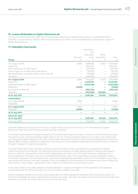The loss for the financial year dealt with in the financial statements of Egdon Resources plc was £256,640 (2010: £272,197). As permitted by Section 408 of the Companies Act 2006, no income statement is presented in respect of Egdon Resources plc.

### 17. Intangible fixed assets

|                                                     |          | Exploration |             |             |
|-----------------------------------------------------|----------|-------------|-------------|-------------|
|                                                     |          | and         |             |             |
|                                                     |          | evaluation  | Other       |             |
|                                                     | Goodwill | costs       | intangibles | Total       |
| Group                                               | £        | £           | £           | £           |
| At 1 August 2009                                    | 2,856    | 5,686,168   | 11,240      | 5,700,264   |
| Additions                                           |          | 1,835,437   |             | 1,835,437   |
| Reclassifications to D&P assets                     |          | (207,105)   |             | (207,105)   |
| Gross margin on oil sales from well testing         |          | (32,767)    |             | (32,767)    |
| Reclassifications to Assets held for sale (note 23) |          | (13,805)    |             | (13,805)    |
| Disposals                                           |          | (246, 635)  |             | (246, 635)  |
| At 1 August 2010                                    | 2,856    | 7,021,293   | 11,240      | 7,035,389   |
| Additions                                           |          | 3,275,978   |             | 3,275,978   |
| Reclassifications to D&P assets                     |          | (2,610,136) |             | (2,610,136) |
| Disposals                                           | (2,856)  |             |             | (2,856)     |
| Exploration written off                             |          | (593,705)   |             | (593,705)   |
| Transfers                                           |          | (102, 069)  | 102,069     |             |
| At 31 July 2011                                     |          | 6,991,361   | 113,309     | 7,104,670   |
| Amortisation                                        |          |             |             |             |
| At 1 August 2009                                    | 2,856    |             |             | 2,856       |
| Disposals                                           |          |             |             |             |
| At 1 August 2010                                    | 2,856    |             |             | 2,856       |
| Disposals                                           | (2,856)  |             |             | (2,856)     |
| At 31 July 2011                                     |          |             |             |             |
| Net book value                                      |          |             |             |             |
| At 31 July 2011                                     |          | 6,991,361   | 113,309     | 7,104,670   |
| At 31 July 2010                                     |          | 7.021.293   | 11.240      | 7,032,533   |

Goodwill related to the acquisition of shares in Egdon Resources (New Ventures) Ltd. On the disposal of Egdon Resources (New Ventures) Ltd this goodwill has been removed.

The Group's unevaluated oil and gas interests at 31 July 2011 are its equity interests in licences in the UK and France held through its wholly owned subsidiaries Egdon Resources U.K. Limited and Egdon Resources Avington Ltd, and through sub-subsidiaries Egdon Resources Europe Limited, Egdon Resources France Limited, Aquitaine Exploration Limited and Egdon (E&P) Limited. Additions to exploration and evaluation costs represent exploration and appraisal costs incurred in the year in respect of unproven properties.

A formal impairment review has been carried out and the Directors have considered and reviewed the potential value of all projects and licences. The Directors have also considered the likely opportunities for realising the value of licences, either by development of discovered hydrocarbons, the farm-out of the asset leading to a development or by the disposal of the assets, and have concluded that the likely value of the expenditure on each exploration area is individually in excess of its carrying amount. The amount described as exploration written off, which relates to dry wells and relinquished licences, has been charged to the consolidated income statement and included within cost of sales and described as "Cost of sales – exploration costs written off, impairments and pre-licence costs".

In the year ended 31 July 2010, additions include £534,825 in respect of interests in nine exploration and appraisal licences acquired from EnCore in return for issue of shares in Egdon (note 28).

Other intangibles represent the costs of purchased data and other geological standards which are used to assist with formulating strategy for licence applications and asset purchases. The costs are subject to an annual impairment test, and elements are written off if they have no future commercial value.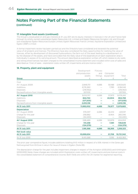### 17. Intangible fixed assets (continued)

The Group's unevaluated oil and gas interests at 31 July 2011 are its equity interests in licences in the UK and France held through its wholly owned subsidiaries Egdon Resources U.K. Limited and Egdon Resources Avington Ltd, and through sub-subsidiaries Egdon Resources Europe Limited, Egdon Resources France Limited, Aquitaine Exploration Limited and Egdon (E&P) Limited.

A formal impairment review has been carried out and the Directors have considered and reviewed the potential value of all projects and licences. The Directors have also considered the likely opportunities for realising the value of licences, either by development of discovered hydrocarbons, the farm-out of the asset leading to a development or by the disposal of the assets, and have concluded that the likely value of the expenditure on each exploration area is individually in excess of its carrying amount. The amount described as exploration written off, which relates to dry wells and relinquished licences has been charged to the consolidated income statement and included within cost of sales and described as "Cost of sales – exploration costs written off, impairments and pre-licence costs".

## 18. Property, plant and equipment

|                                          | Development    | Fixtures      |                |            |
|------------------------------------------|----------------|---------------|----------------|------------|
|                                          | and production | and           | Computer       |            |
| Group                                    | assets<br>£    | fittings<br>£ | equipment<br>£ | Total<br>£ |
|                                          |                |               |                |            |
| Cost                                     |                |               |                |            |
| At 1 August 2009                         | 2,848,751      | 4,686         | 50,188         | 2,903,625  |
| Additions                                | 6,176,363      |               | 7,785          | 6,184,148  |
| Disposals                                | (218, 462)     |               |                | (218, 462) |
| Reclassifications from intangible assets | 207,105        |               |                | 207,105    |
| At 1 August 2010                         | 9,013,757      | 4,686         | 57,973         | 9,076,416  |
| Additions                                | 842,744        |               | 22,004         | 864,748    |
| Disposals                                | (571, 635)     |               |                | (571, 635) |
| Reclassifications from intangible assets | 2,610,136      |               |                | 2,610,136  |
| At 31 July 2011                          | 11,895,002     | 4,686         | 79,977         | 11,979,665 |
| <b>Depreciation</b>                      |                |               |                |            |
| At 1 August 2009                         | 376,037        | 4,686         | 42,414         | 423,137    |
| Charge for the year                      | 256.882        |               | 8,464          | 265,346    |
| Disposals                                | (34, 430)      |               |                | (34, 430)  |
| At 1 August 2010                         | 598,489        | 4,686         | 50,878         | 654,053    |
| Charge for the year                      | 721,258        |               | 7,391          | 728,649    |
| Disposals                                | (124, 379)     |               |                | (124, 379) |
| At 31 July 2011                          | 1,195,368      | 4,686         | 58,269         | 1,258,323  |
| Net book value                           |                |               |                |            |
| At 31 July 2011                          | 10,699,634     |               | 21,708         | 10,721,342 |
| At 31 July 2010                          | 8,415,268      |               | 7,095          | 8,422,363  |
|                                          |                |               |                |            |

The prior year comparative figure, includes additions totalling £4.5 million in respect of a 10% interest in the Ceres gas field acquired from EnCore in return for issue of shares in Egdon (Note 28).

The depreciation charge for the year includes impairment charges in respect of the Avington (£130,000) and Kirklington (£100,000) fields; these charges are included within Exploration costs written off, impairments and pre-licence costs in the consolidated statement of comprehensive income. Both fields are within the UK market for segmental reporting.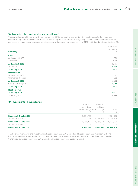### 18. Property, plant and equipment (continued)

These productive oil fields are within geographical CGU's containing exploration & evaluation assets that have been subject to impairment review and, in the case of Avington, surrender of the adjoining licence. The recoverable amounts are based on value in use assessed from forecast production, oil price per barrel of \$100 – \$109 and a discount rate of 8%.

|                     | Computer  |
|---------------------|-----------|
|                     | equipment |
| Company             | £         |
| Cost                |           |
| At 1 August 2009    | 2,832     |
| Additions           | 7,785     |
| At 1 August 2010    | 10,617    |
| Additions           | 4,834     |
| At 31 July 2011     | 15,451    |
| <b>Depreciation</b> |           |
| At 1 August 2009    | 640       |
| Charge for the year | 3,322     |
| At 1 August 2010    | 3,962     |
| Charge for the year | 4,089     |
| At 31 July 2011     | 8,051     |
| Net book value      |           |
| At 31 July 2011     | 7,400     |
| At 31 July 2010     | 6,655     |

### 19. Investments in subsidiaries

| Balance at 31 July 2011 | 9,964,782  | 5,034,824                 | 14,999,606 |
|-------------------------|------------|---------------------------|------------|
| Additions in year       |            |                           |            |
| Balance at 31 July 2010 | 9,964,782  | 5.034.824                 | 14.999.606 |
| Additions in year       |            | 5.034.824                 | 5,034,824  |
| Balance at 31 July 2009 | 9,964,782  |                           | 9,964,782  |
|                         |            |                           |            |
|                         |            | undertakings undertakings | Total      |
|                         | subsidiary | subsidiary                |            |
|                         | Shares in  | Loans to                  |            |

The balance represents the investment in Egdon Resources U.K. Limited and Egdon Resources Avington Ltd. The loan advanced in the year ended 31 July 2010 represents the value of licence interests acquired from EnCore Oil plc transferred to Egdon Resources U.K. Limited and Egdon Resources Europe Limited.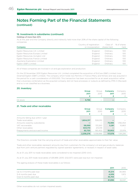# 19. Investments in subsidiaries (continued)

### Holdings of more than 20%

As at the year end the Company directly and indirectly held more than 20% of the share capital of the following companies:

|                                | Country of registration | Class of    | % of shares |
|--------------------------------|-------------------------|-------------|-------------|
| Company                        | or incorporation        | shares held | held        |
| Egdon Resources U.K. Limited   | England                 | Ordinary    | 100         |
| Egdon Resources Europe Limited | England                 | Ordinary    | 100         |
| Egdon Resources Avington Ltd   | England                 | Ordinary    | 100         |
| Egdon Resources France Limited | England                 | Ordinary    | 100         |
| Aquitaine Exploration Limited  | England                 | Ordinary    | 100         |
| Egdon (E&P) Limited            | England                 | Ordinary    | 100         |

All of these companies are involved in oil and gas exploration and production.

On the 23 November 2010 Egdon Resources U.K. Limited completed the acquisition of EnCore (E&P) Limited (now renamed Egdon (E&P) Limited). The company which holds two Permits in France (Mairy and Nimes) and was acquired in the period for a cash consideration of £100,000. This transaction has been accounted for as an asset acquisition rather than a business combination as the acquired company did not have processes or outputs as defined by IFRS 3 (Revised) and so is not classified as a business.

### 20. Inventory

|           | Group |                          |      | Group <b>Company</b> Company |
|-----------|-------|--------------------------|------|------------------------------|
|           | 2011  | 2010                     | 2011 | 2010                         |
|           |       | $\vdash$                 |      | £                            |
| Oil stock | 9,796 | $\overline{\phantom{a}}$ |      |                              |

## 21. Trade and other receivables

|                                   | Group<br>2011<br>£ | Group<br>2010 | Company<br>2011<br>£ | Company<br>2010 |
|-----------------------------------|--------------------|---------------|----------------------|-----------------|
| Amounts falling due within 1 year |                    |               |                      |                 |
| Trade receivables                 | 1,604,317          | 506.912       |                      |                 |
| Amounts owed by subsidiaries      |                    |               | 75,995               | 1,156,454       |
| VAT recoverable                   | 58,069             | 133.263       | 5,281                | 10,863          |
| Other receivables                 | 503,170            | 213,319       |                      |                 |
| Prepayments and accrued income    | 92,720             | 185,402       | 35,802               | 23,978          |
|                                   | 2,258,276          | 1.038.896     | 117.078              | 1.191.295       |

The Directors consider that the carrying amount of trade and other receivables approximates to their fair value.

Trade and other receivables represent amounts due from customers for the company's oil and gas products, balances due from joint venture partners regulated by signed operator agreements, or receipts in respect of asset sales.

As at 31 July 2011 no trade receivables were considered to be impaired (2010: £nil).

As at 31 July 2011 trade receivables of £81,896 (2010: £32,037) were past due but not impaired.

The ageing analysis of these trade receivables is as follows:

|                                                | 2011            | 2010            |
|------------------------------------------------|-----------------|-----------------|
| Up to 3 months past due<br>3-6 months past due | 41,214<br>4,939 | 30,065<br>1.972 |
| Over 6 months past due                         | 35,743          |                 |
|                                                | 81,896          | 32,037          |

Other receivables do not contain impaired assets.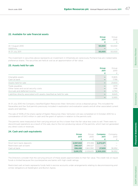### 22. Available for sale financial assets

|                  | Group  | Group  |
|------------------|--------|--------|
|                  | 2011   | 2010   |
|                  |        |        |
| At 1 August 2010 | 50,000 | 50,000 |
| Additions        |        |        |
| At 31 July 2011  | 50,000 | 50,000 |

The investment in securities above represents an investment in Infrastrata plc (previously Portland Gas plc) redeemable preference shares. The securities are held at cost as an approximation of fair value.

### 23. Assets held for sale

|                                                                         | Group<br>2011 | Group<br>2010 |
|-------------------------------------------------------------------------|---------------|---------------|
|                                                                         |               |               |
| Intangible assets                                                       |               | 13,805        |
| Cash at bank                                                            |               | 7,795         |
| Assets held for sale                                                    |               | 21,600        |
| Trade payables                                                          |               | 1.979         |
| Other taxes and social security costs                                   |               | 1.916         |
| Accruals and deferred income                                            |               | 4,750         |
| Liabilities directly associated with assets classified as held for sale |               | 8,645         |
|                                                                         |               | 12.955        |

At 31 July 2010 the Company classified Egdon Resources (New Ventures) Ltd as a disposal group. This included the Navacelles and Gex Sud permits previously included in exploration and evaluation assets and all other associated current assets and liabilities.

The sale of 100% of the share capital of Egdon Resources (New Ventures) Ltd was completed on 5 October 2010 for a consideration of £4.5 million in cash and the grant of options in relation to the permits sold.

The permits were measured at their carrying amount as this is lower than the fair value less costs to sell. There were no discontinued operations as a result of this sale, due to the non-producing nature of the permits, which had not generated any direct costs or revenues.

## 24. Cash and cash equivalents

|                          | Group     | Group     | Company   | Company |
|--------------------------|-----------|-----------|-----------|---------|
|                          | 2011      | 2010      | 2011      | 2010    |
|                          |           |           |           |         |
| Short term bank deposits | 2,997,063 | 370.918   | 2,272,871 |         |
| Restricted cash at bank  | 296.027   | 295.527   | -         |         |
| Cash at bank             | 398,085   | 1.363.390 | 27,659    | 36,952  |
|                          | 3,691,175 | 2,029,835 | 2,300,530 | 36,952  |

The Directors consider that the carrying amount of these assets approximates to their fair value. The credit risk on liquid funds is limited because the counterparties are banks with high credit ratings.

Restricted cash at bank represents funds held in escrow accounts under arrangements relating to decommissioning and similar obligations at Keddington and Burton Agnes.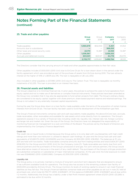# 25. Trade and other payables

|                                       | Group     | Group    | Company   | Company |
|---------------------------------------|-----------|----------|-----------|---------|
|                                       | 2011      | 2010     | 2011      | 2010    |
|                                       | £         | ۲.       |           |         |
| Trade payables                        | 1,060,679 | 802.053  | 4,401     | 41,354  |
| Amounts due to subsidiaries           |           | _        | 369,253   |         |
| Other taxes and social security costs | 22.170    | 14.487   | 22,169    | 14,487  |
| Other payables                        | 1,039,367 |          | 1,039,253 |         |
| Accruals and deferred income          | 603.501   | 823.127  | 64.718    | 25,070  |
|                                       | 2,725,717 | .639.667 | 1.499.794 | 80.911  |

The Directors consider that the carrying amount of trade and other payables approximates to their fair value.

Other payables includes £1,000,000 (2010: £nil) due to EnCore Oil plc for a loan drawn down in the period under the facility agreement which was provided as part of the purchase of assets from EnCore during 2010. The loan attracts interest at the higher of 10% or LIBOR plus 5%. The loan is repayable on 28 July 2012.

Also included in other payables is £37,995 (2010: £nil) due to The Carbon Trust. This loan is repayable via monthly instalments of £2,235. This loan is provided on an interest free basis.

### 26. Financial assets and liabilities

The Group's objective is to minimise financial risk. In prior years, the policies to achieve this were to fund operations from equity capital and not to make use of derivatives or complex financial instruments. These policies have been amended as the Group now considers that it may also be appropriate to fund certain projects from debt. The Group's ordinary shares are considered to be equity capital, together with share premium, share based payment reserve and retained earnings. The Group is not subject to any externally imposed capital requirements.

During the year the Group drew down on a loan facility made available under the terms of the acquisition of certain licence interests from EnCore Oil plc. The loan facility has been used to fund the development of the Kirkleatham gas field.

The Group's financial instruments comprise cash and cash equivalents, trade payables, the above EnCore loan, accruals, trade receivables, other receivables and available for sale assets which arise directly from its operations. The Group's operations expose it to a variety of financial risks including credit risk, liquidity risk, interest rate risk, foreign currency exchange risk and market risk. Given the size of the Group, the Directors have not delegated the responsibility of monitoring financial risk management to a sub-committee of the Board. The policies set by the Board of Directors are implemented by the Company's finance department.

### Credit risk

The credit risk on liquid funds is limited because the Group policy is to only deal with counterparties with high credit ratings and more than one institution is utilised to deposit cash holdings. At year end the Group had cash and cash equivalents of £3,691,175 (2010: £2,029,835) and the Company £2,300,530 (2010: £36,952). The balances at 31 July 2011 are held with two banks. Trade receivables comprise amounts due from trading entities and total £1,604,317 (2010: £506,912) for the Group and £nil (2010: £nil) for the Company (note 21). Trade receivables are mainly due from joint venture partners and the purchasers of the Group's produced oil and gas. For joint venture partners, the Group would have alternative means of recourse in the event of any credit default. The purchasers of the Group's oil & gas production are substantial companies or subsidiaries of major international companies. At the year end, the total exposure to credit risk was £5,848,662 (2010: £2,800,066); Company £2,300,530 (2010: £36,952).

### Liquidity risk

The Group policy is to actively maintain a mixture of long term and short term deposits that are designed to ensure it has sufficient available funds for operations. The Group also has access to the remaining undrawn loan facility of £500,000 provided by EnCore Oil plc. The Group monitors its levels of working capital to ensure it can meet financial liabilities as they fall due. The Group's financial liabilities comprise trade and other payables as set out in note 25, held at amortised cost, which total £2,725,717 (2010: £1,639,667). Of this balance £1,690,820 (2010: £1,639,667) are all due within 1-2 months. Additionally the Group has a liability under a Net Profit Interest agreement where £12,101 (2010: £21,269) is estimated to be due within 12 months.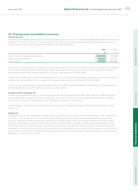# 26. Financial assets and liabilities (continued)

### Interest rate risk

The Group has interest bearing assets, comprising cash balances which earn interest at variable rates and interest bearing liabilities in the form of loans. The financial assets of the Group are cash at bank and fixed term bank deposits (money market) most of which are Sterling denominated, further detailed below:

|                                         | 2011      | 2010      |
|-----------------------------------------|-----------|-----------|
|                                         |           |           |
| Cash at bank at floating interest rates | 2,997,063 | 370.918   |
| Restricted cash at bank                 | 296.027   | 295.527   |
| Cash at bank                            | 398,085   | 1,363,390 |

Cash at bank at floating rates consisted of money market deposits which earn interest at rates set in advance for periods up to three months by reference to Sterling LIBOR. Restricted cash at bank represents amounts lodged in support of guarantee commitments, earning interest at short term rates based on Sterling LIBOR.

An effective interest rate increase or decrease by 1% on the cash and cash equivalents balance at year end would result in a before tax financial effect of an increase or decrease in finance income of £36,912 (2010: £20,298).

The Group has interest bearing liabilities as disclosed in note 25. No sensitivity analysis is provided as the probability of LIBOR plus 5% exceeding 10% before the loan is repaid is remote.

### Foreign currency exchange risk

The Group is exposed to foreign currency exchange rate risk in relation to short term bank deposits, trade receivables and payables denominated in US dollars and Euros. The value of the Group's financial assets denominated in foreign currencies at 31 July 2011 was £416,195 (2010: £85,206) Company £nil (2010: £nil).

A 10% change in the Sterling exchange rate would result in an increase or decrease of £41,620 (2010: £8,521) in profit before tax.

### Market risk

Payments to the former shareholder of Egdon Resources Avington Ltd under the Net Profit Interest ("NPI") agreement vary in line with the oil price. If the oil price is below \$100 per barrel, NPI payments are based on 5% of Egdon's net revenues realised from the licences after subtracting allowable costs. If the oil price exceeds \$130 per barrel the NPI payment percentage increases to 10%. If the oil price is between \$100 and \$130, the NPI payment percentage is 7.5%. The provision at 31 July 2011 assumes that oil price will continue to be less than \$100 per barrel. If this level were to be exceeded, the liability would rise, but any increase would be exceeded by the corresponding increase in revenue from oil sales. If the oil price were to fall below \$100 per barrel the liability would decrease and there would be a corresponding decrease in revenues from oil sales.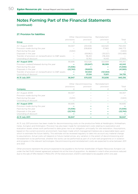# 27. Provision for liabilities

| At 31 July 2011                                         | 56,947     | 570,533               | 312,836       | 940,316    |
|---------------------------------------------------------|------------|-----------------------|---------------|------------|
| Unwinding of discount                                   |            | 21,124                | 13,611        | 34,735     |
| Transfer of provision on reclassification to D&P assets |            | 121,553               | (121, 553)    |            |
| Disposals in the year                                   | (22,742)   | (18, 823)             |               | (41, 565)  |
| Paid during the year                                    | (11,006)   |                       |               | (11,006)   |
| Provision created/released during the year              |            | (55, 847)             | 98,089        | 42,242     |
| At 1 August 2010                                        | 90,695     | 502,526               | 322.689       | 915,910    |
| Unwinding of discount                                   |            | 13,762                | 14,143        | 27,905     |
| Transfer of provision on reclassification to D&P assets |            | 116,412               | (116, 412)    |            |
| Disposals in the year                                   |            | (69,962)              | (35, 527)     | (105, 489) |
| Paid during the year                                    | (3,612)    |                       |               | (3,612)    |
| Provision made during the year                          |            | 208.808               | 37.965        | 246.773    |
| At 1 August 2009                                        | 94.307     | 233.506               | 422,520       | 750,333    |
| Group                                                   | £          | £                     | £             | £          |
|                                                         | provisions | provision             | provision     | Total      |
|                                                         |            | Other Decommissioning | Reinstatement |            |

| Company                        | provisions<br>£ | Other Decommissioning<br>provision | Reinstatement<br>provision | Total    |
|--------------------------------|-----------------|------------------------------------|----------------------------|----------|
| At 1 August 2009               | 94.307          |                                    |                            | 94,307   |
| Provision made during the year |                 |                                    |                            |          |
| Paid during the year           | (3,612)         |                                    |                            | (3,612)  |
| Unwinding of discount          |                 |                                    |                            |          |
| At 1 August 2010               | 90.695          |                                    |                            | 90.695   |
| Provision made during the year |                 |                                    |                            |          |
| Paid during the year           | (11,006)        |                                    |                            | (11,006) |
| Disposals in the year          | (22, 742)       |                                    |                            | (22,742) |
| Unwinding of discount          |                 |                                    |                            |          |
| At 31 July 2011                | 56,947          |                                    |                            | 56,947   |

At 31 July 2011 provision has been made for decommissioning costs on the productive fields at Keddington, Kirkleatham, Ceres, Avington and Kirklington. Provision has also been made for reinstatement costs relating to exploration and evaluation assets where work performed to date gives rise to an obligation, principally for site restoration. Assumptions, based on the current economic environment, have been made which management believe are a reasonable basis upon which to estimate the future liability. This estimate will be reviewed regularly to take into account any material change to assumptions. Actual costs will depend on future market prices, any variation in the extent of decommissioning and reinstatement to be performed, whether the works can be performed as part of a multi-well programme or in isolation and progress in the relevant technologies. Decommissioning and reinstatement costs are expected to arise between 2011 and 2021.

Other provisions represent the amount expected to be payable to the former shareholder of Egdon Resources Avington Ltd under the Net Profit Interest agreement entered into at the time of acquisition. As detailed in note 6 other provisions reduced due to the sale of 10% interest in PEDL070. Of the total provision, £12,101 is estimated to be payable within one year.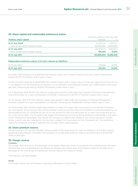### 28. Share capital and redeemable preference shares

| Allotted, called up and fully paid   |                        |            |
|--------------------------------------|------------------------|------------|
| Ordinary share capital               | Number                 |            |
| At 31 July 2009                      | 75.475.774             | 7.547.577  |
| - Issue of new £0.10 ordinary shares | 55.200.000             | 5.520.000  |
| At 31 July 2010                      | 130.675.774            | 13.067.577 |
| - Issue of new £0.10 ordinary shares | 193,320                | 19,332     |
| At 31 July 2011                      | 130.869.094 13.086.909 |            |

### Redeemable preference shares of £1 each (classed as liabilities)

| At 31 July 2010 | 50.000 | - 12.500 |
|-----------------|--------|----------|
| At 31 July 2011 | 50,000 | 12.500   |

On 6 April 2010 a placing of 16,000,000 10p ordinary shares with a market value of 12.5p was made. Following the placing 91,475,774 ordinary shares were in issue.

On 28 July 2010 a placing of 39,200,000 10p ordinary shares with a market value of 12.5p was made with EnCore Oil plc in consideration for the acquisition of interests in nine exploration and appraisal licences and a 10% interest in the Ceres gas field. Following the placing 130,675,774 ordinary shares were in issue.

On 21 December 2010 82,003 10p Ordinary shares were issued to staff under the Company's Enterprise Management Incentive Scheme for a cash consideration of £13,260. Following this 130,757,777 Ordinary shares were in issue.

On 25 January 2011 111,317 10p Ordinary shares were issued to staff under the Company's Enterprise Management Incentive Scheme for a cash consideration of £18,000. Following this 130,869,094 Ordinary shares were in issue.

On 6 November 2007 50,000 redeemable preference shares of £1 each were issued and are now held by Infrastrata plc. One quarter of the nominal value of these shares is paid up and the shares are entitled to an annual dividend out of distributable profits of 0.00001% per annum on the amount for the time being paid up on each such share and do not carry any voting rights. The Company may redeem the shares at any time by giving preference shareholders one week's notice. Preference shareholders may require the Company to redeem their shares at any time by giving six months' notice. In each case, any redemption is at par and is subject to the provisions of the Companies Act. The preference shares are treated as short term liabilities and included within trade payables.

### 29. Share premium reserve

During the year to 31 July 2011 193,320 ordinary shares of 10p were issued for cash consideration of £31,260 creating additional share premium of £11,928. This resulted in a closing share premium reserve carried forward of £1,374,428 (2010: £1,362,500).

### 30. Merger reserve

### Company

The merger reserve arose on the demerger of the Egdon Resources Group of companies from Infrastrata plc (formerly Portland Gas plc) and represented the difference between the market value of the shares issued on the date of the demerger at the closing rate of trading and nominal value of the shares so issued.

The reserve is not distributable.

#### Group

The merger reserve was eliminated on demerger effected by a Court Order.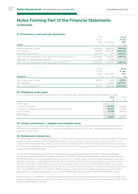### 31. Movements in cash and cash equivalents

|                                                                                                           | As at                           |                                | As at                           |
|-----------------------------------------------------------------------------------------------------------|---------------------------------|--------------------------------|---------------------------------|
| Group                                                                                                     | 31 July<br>2010<br>£            | Cash flow<br>£                 | 31 July<br>2011<br>£            |
| Cash at bank and in hand<br>Term deposits<br>Restricted cash at bank                                      | 1,363,390<br>370,918<br>295,527 | (965, 305)<br>2,626,145<br>500 | 398,085<br>2,997,063<br>296,027 |
| Cash and cash equivalents as per statement of financial position<br>Cash held in disposal group (note 23) | 2,029,835<br>7,795              | 1,661,340<br>(7,795)           | 3,691,175                       |
| Cash and cash equivalents as per statement of cash flow                                                   | 2,037,630                       | 1,653,545                      | 3,691,175                       |
| Company                                                                                                   | As at<br>31 July<br>2010<br>£   | Cash flow<br>£                 | As at<br>31 July<br>2011<br>£   |
| Cash at bank and in hand<br>Term deposits                                                                 | 36,952                          | (9,293)<br>2,272,871           | 27,659<br>2,272,871             |
| Cash and cash equivalents                                                                                 | 36,952                          | 2,263,578                      | 2,300,530                       |

### 32. Obligations under leases

At 31 July 2011 the Group had future minimum commitments under non-cancellable operating leases as follows:

|                                                              | 2011    | 2010    |
|--------------------------------------------------------------|---------|---------|
|                                                              |         |         |
| Within 1 year                                                |         |         |
| $-$ Land and buildings                                       | 25,000  | 25,000  |
| - Leases on operational and exploration and evaluation sites | 69,203  | 62,113  |
| From 1-5 years                                               | 18,750  | 43.750  |
| After 5 years                                                |         |         |
|                                                              | 112,953 | 130.863 |

### 33. Capital commitments — tangible and intangible assets

Capital commitments of £605,458 (2010: £1,451,100) relate to expenditure committed under signed authorisations for expenditure and relate to exploration, development and production assets. No other capital commitments have been made as at 31 July 2011.

### 34. Related party transactions

Mr Walter Roberts is a Non-Executive Director of Egdon Resources plc and is also a Director and shareholder in Pinnacle Energy Limited, a company that provides legal and consultancy services to the oil and gas industry. During the year to 31 July 2011 Pinnacle Energy Limited invoiced the Group £113,565 (2010: £130,107) for legal and consultancy services provided at commercial rates and agreed by the Directors of the Company. At the year end £1,321 was owing to Pinnacle Energy Limited (2010: £45,606).

Mr John Rix is a Non-Executive Director of Egdon Resources plc and controlling shareholder in Dorset Exploration Limited and Yorkshire Exploration Limited, companies that hold non-operating partnership interests in certain licences in which Egdon has an interest as operator. During the year to 31 July 2011 Egdon invoiced Dorset Exploration Limited and Yorkshire Exploration Limited £29,955 (2010: £9,602) and £323,173 (2010: £76,315) respectively by way of cost-recovery. At 31 July 2011 £22,517 (2010: £352) was due from Dorset Exploration Limited and £17,508 (2010: £15,295) was due from Yorkshire Exploration Limited. Also during the year to 31 July 2011 Yorkshire Exploration Limited invoiced Egdon Resources U.K. Limited £88,998 (2010: £nil) relating to their proportion of gas sales from the Kirkleatham licence on which Egdon Resources U.K. Limited is the operator. At 31 July 2011 £63,881 (2010: £nil) was due to Yorkshire Exploration Limited.

EnCore Oil plc is a shareholder in the Company and Alan Booth, the Chief Executive Officer of EnCore, is a Non-Executive Director of Egdon Resources plc. EnCore provided a loan facility at the time of an asset purchase transaction in 2010, details of which are provided in Note 25.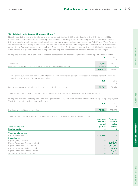### 34. Related party transactions (continued)

Note 6 records the sale of a 5% interest in the Avington oil field to IS E&P Limited and a further 5% interest to IS NV Limited. The IS companies are private companies involved in oil and gas exploration and production. InfraStrata plc is a 50% shareholder in both companies, although each company has an independent board. Ken Ratcliff and Walter Roberts are directors of InfraStrata plc and Walter Roberts and John Rix have shareholdings in the IS companies. An independent committee of Egdon directors comprising Philip Stephens, Alan Booth and Mark Abbott was established to consider the offers for the Avington interests, and to negotiate and approve the transaction. Independent advice was sought.

During the year the Group provided services to companies with interests in jointly controlled operations as follows:

|                                                                               | 2011               | 2010             |
|-------------------------------------------------------------------------------|--------------------|------------------|
|                                                                               |                    |                  |
| Time costs<br>Overhead recharged in accordance with Joint Operating Agreement | 118,698<br>177.725 | 99,022<br>55.049 |
|                                                                               | 296,423            | 154.071          |

The balances due from companies with interests in jointly controlled operations in respect of these transactions as at 31 July 2011 and 31 July 2010 are set out below:

|                                                                    | 2011   | 2010   |
|--------------------------------------------------------------------|--------|--------|
|                                                                    |        |        |
| Due from companies with interests in jointly controlled operations | 90.007 | 30.424 |

The Company has a related party relationship with its subsidiaries in the course of normal operations.

During the year the Company provided management services, and billed for time spent on subsidiary Company projects. The total amounts invoiced were as follows:

|                                  | 2011    | 2010    |
|----------------------------------|---------|---------|
|                                  |         |         |
| Invoiced to subsidiary companies | 731,832 | 503,499 |

The balances outstanding at 31 July 2011 and 31 July 2010 are set out in the following table.

|                                | <b>Amounts</b> | <b>Amounts</b> |
|--------------------------------|----------------|----------------|
|                                | owed by        | owed to        |
|                                | related        | related        |
| As at 31 July 2011             | parties        | parties        |
| <b>Related party</b>           | £              | £              |
| The ultimate parent            |                |                |
| Egdon Resources plc            | 4,741,566      |                |
| <b>Subsidiaries</b>            |                |                |
| Egdon (E&P) Limited            |                | 12,076         |
| Egdon Resources Europe Limited |                | 2,242,711      |
| Egdon Resources U.K. Limited   |                | 2,422,860      |
| Egdon Resources Avington Ltd   |                | 22.304         |
| Egdon Resources France Limited |                | 30.083         |
| Aquitaine Exploration Limited  |                | 11,532         |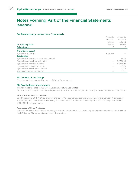## 34. Related party transactions (continued)

| As at 31 July 2010<br><b>Related party</b> | Amounts<br>owed by<br>related<br>parties<br>£ | Amounts<br>owed to<br>related<br>parties<br>£ |
|--------------------------------------------|-----------------------------------------------|-----------------------------------------------|
| The ultimate parent                        |                                               |                                               |
| Egdon Resources plc                        | 6.191.278                                     |                                               |
| <b>Subsidiaries</b>                        |                                               |                                               |
| Egdon Resources (New Ventures) Limited     |                                               | 7.820                                         |
| Egdon Resources Europe Limited             |                                               | 2.276.266                                     |
| Egdon Resources U.K. Limited               |                                               | 3.888.692                                     |
| Egdon Resources Avington Ltd               |                                               | 5.000                                         |
| Egdon Resources France Limited             |                                               | 7.778                                         |
| Aquitaine Exploration Limited              |                                               | 5,722                                         |

### 35. Control of the Group

There is no ultimate controlling party of Egdon Resources plc.

### 36. Post balance sheet events

### Transfer of operatorship of PEDL141 to Seven Star Natural Gas Limited

On 19 August 2011, Egdon transferred operatorship of licence PEDL141 ("Nooks Farm") to Seven Star Natural Gas Limited.

### Issue of shares under EMI scheme

On 14 September 2011, 100,000 ordinary shares of 10 pence were issued and allotted under the Company's Enterprise Management Incentive Scheme. Following this allotment, the total issued share capital of the Company increased to 130,969,094 ordinary shares.

### Resumption of Ceres Production

Gas production resumed from the Ceres gas field on 17 September 2011, following prolonged maintenance shut-down of the BP Cleeton Platform and associated infrastructure.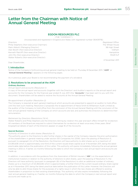# Letter from the Chairman with Notice of Annual General Meeting

# EGDON RESOURCES PLC

(THE "COMPANY")

(Incorporated and registered in England and Wales with registered number 06409716)

Philip Stephens (Non-executive Chairman) The Wheat House Mark Abbott (Managing Director) 98 High Street Alan Booth (Non-executive Director) Odiham Kenneth Ratcliff (Non-executive Director) National American State of the Manushire Hampshire Hampshire John Rix (Non-executive Director) and the control of the control of the control of the control of the control of the control of the control of the control of the control of the control of the control of the control of the Walter Roberts (Non-executive Director)

*Directors: Registered Office:*

4 November 2011

Dear Shareholder,

### 1. Introduction

Notice of the Company's forthcoming annual general meeting to be held on Thursday 8 December 2011 ("AGM" or "Annual General Meeting") appears on the following pages.

As in previous years your Board is not recommending the payment of a dividend.

### 2. Resolutions to be proposed at the AGM

### Ordinary Business

*Annual report and accounts (Resolution 1)*

A copy of the annual report and accounts (together with the Directors' and Auditor's reports on the annual report and accounts) for the Company for the financial year ended 31 July 2011 (the "Accounts") has been sent to you with this document. Shareholders will be asked to receive the Accounts at the Annual General Meeting.

### *Re-appointment of auditor (Resolution 2)*

The Company is required at each general meeting at which accounts are presented to appoint an auditor to hold office until the next such meeting. Resolution 2 proposes the re-appointment of Nexia Smith & Williamson Audit Limited as the auditor of the Company to hold office from the conclusion of the Annual General Meeting until the conclusion of the next annual general meeting of the Company at which accounts are laid, and authorises the Directors to determine their remuneration.

### *Retirement by Directors (Resolutions 3 & 4)*

Walter Roberts and Philip Stephens are the Directors retiring by rotation this year and each offers himself for re-election. All members of the Board are required to submit themselves for re-election at least once every three years. Brief biographical details of each of the Directors appear on page 16 of the Accounts.

### Special Business

### *Authority of Directors to allot shares (Resolution 5)*

The authority given to the Directors to allot further shares in the capital of the Company requires the prior authorisation of the shareholders in general meeting under section 551 Companies Act 2006. Upon the passing of Resolution 5, pursuant to paragraph (A) of the Resolution, the Directors will have authority to allot shares up to a maximum of £4,365,636 which is approximately one third of the current issued share capital as at 4 November 2011, being the latest practicable date before the publication of this Letter. This authority will expire immediately following the annual general meeting in 2012 or, if earlier, six months following the date to which the Company's next annual report and accounts are made up.

In addition, in accordance with the guidance from the Association of British Insurers ("ABI") on the expectations of institutional investors in relation to the authority of directors to allot shares, upon the passing of Resolution 5, the Directors will have authority (pursuant to paragraph (B) of the Resolution) to allot an additional number of ordinary shares up to a maximum of £4,365,636 which is approximately a further third of the current issued ordinary share capital as at 4 November 2011, being the latest practical date before the publication of this Letter. However, the Directors will only be able to allot those shares for the purposes of a rights issue in which the new shares are offered to existing shareholders in proportion to their existing shareholdings. This authority will also expire immediately following the next annual general meeting or, if earlier, six months following the date to which the Company's next annual report and accounts are made up to.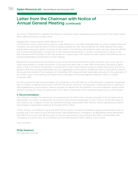# Letter from the Chairman with Notice of **Annual General Meeting (continued)**

As a result, if Resolution 5 is passed, the Directors could allot shares representing up to two-thirds of the current issued share capital pursuant to a rights issue.

### *Disapplication of pre-emption rights (Resolution 6)*

If the Directors wish to exercise the authority under Resolution 5 and offer unissued shares (or sell any shares which the Company may purchase and elect to hold as treasury shares) for cash, the Companies Act 2006 requires that unless shareholders have given specific authority for the waiver of the statutory pre-emption rights, the new shares be offered first to existing shareholders in proportion to their existing shareholdings. In certain circumstances, it may be in the best interests of the Company to allot new shares (or to grant rights over shares) for cash without first offering them to existing shareholders in proportions to their holdings.

Resolution 6 would authorise the Directors to do this by allowing the Directors to allot shares for cash (i) by way of a rights issue (subject to certain exclusions), (ii) by way of an open offer or other offer of securities (not being a rights issue) in favour of existing shareholders in proportions to their shareholdings (subject to certain exclusions) and (iii) to persons other than existing shareholders up to an aggregate nominal value of £3,929,072 which is equivalent to 30% of the issued share capital of the Company on 4 November 2011, being the latest practicable date prior to the publication of this Letter. If given, the authority will expire on the conclusion of the annual general meeting in 2012 or, if earlier, 31 January 2013.

For this purpose the ABI recommendation for companies on the LSE main list is 5%, although it is generally recognised that for smaller companies and those on AIM this may be too restrictive. Consequently I would ask that you approve a 30% disapplication of pre-emption rights to provide your Board with the flexibility to pursue investment opportunities without incurring the costs of a rights issue or the need to market part of the investment opportunity to third parties.

### 3. Recommendation

Your Directors consider the resolutions to be proposed at the AGM to be in the best interests of the Company and its shareholders as a whole. Consequently, the Directors recommend shareholders to vote in favour of the resolutions as they intend to do in respect of their own beneficial holdings totalling 9,977,347 ordinary shares (representing 7.62% of the Company's issued share capital as at the date of this Letter).

A form of proxy is included for use at the AGM. Forms of proxy should be completed, signed and returned as soon as possible and in any event so as to be received by Capita Registrars at The Registry, 34 Beckenham Road, Beckenham, Kent BR3 4TU not less than 48 hours prior to the time appointed for the holding of the AGM on 8 December 2011. Completion of a proxy form will not prevent you from attending the AGM in person if you so wish.

Yours sincerely,

### Philip Stephens

Non-Executive Chairman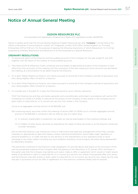# Notice of Annual General Meeting

# EGDON RESOURCES PLC

(Incorporated and registered in England and Wales with registered number 06409716)

Notice is hereby given that the Annual General Meeting of Egdon Resources plc (the "Company") will be held at the offices of Buchanan Communications Limited, 107 Cheapside, London, EC2V 6DN, United Kingdom on Thursday 8 December 2011 at 11.30 a.m. for the purpose of passing the following resolutions, of which Resolutions 1 to 5 will be proposed as Ordinary Resolutions and Resolution 6 will be proposed as a Special Resolution:

### ORDINARY RESOLUTIONS:

- 1 To receive the report of the Directors and the audited accounts of the Company for the year ended 31 July 2011, together with the report of the Auditor on those audited accounts.
- 2 That Nexia Smith & Williamson Audit Limited be and are hereby re-appointed as auditor of the Company to hold office from the conclusion of this meeting until the conclusion of the next meeting at which accounts are laid before the meeting, at a remuneration to be determined by the Directors.
- 3 To re-elect Walter Roberts as Director who retires pursuant to article 92 of the Company's articles of association and who, being eligible, offers himself for re-election.
- 4 To re-elect Philip Stephens as Director who retires pursuant to article 92 of the Company's articles of association and who, being eligible, offers himself for re-election.
- 5 To consider and, if thought fit, to pass the following resolution as an ordinary resolution:

THAT the Directors be and they are hereby generally and unconditionally authorised in accordance with section 551 Companies Act 2006 (CA 2006) to exercise all the powers of the Company to allot shares in the Company and to grant rights to subscribe for, or to convert any security into, shares in the Company:

(A)up to an aggregate nominal amount of £4,365,636; and

- (B) comprising equity securities (within the meaning of section 560 CA 2006) up to a further aggregate nominal amount of £4,365,636 in connection with an offer by way of a rights issue:
	- (i) to ordinary shareholders in proportion (as nearly as may be practicable) to their existing holdings; and
	- (ii) to holders of other equity securities as required by the rights of those securities or as the Directors otherwise consider necessary,

and so that that Directors may impose any limits or restrictions and make any arrangements which they consider necessary or appropriate to deal with treasury shares, fractional entitlements, record dates, legal, regulatory or practical problems in, or under the laws of, any territory or the requirements of any regulatory body or stock exchange or any other matter (including any such problems arising by virtue of equity securities being represented by depositary receipts).

The authorities conferred on the Directors under paragraphs (A) and (B) above shall expire at the conclusion of the next annual general meeting of the Company after the passing of this Resolution or 31 January 2013, whichever is the earlier save that the Company may before such expiry make an offer or agreement which would or might require shares to be allotted or rights to subscribe for, or to convert any security into, shares to be granted after such expiry and the Directors may allot shares or grant rights to subscribe for, or to convert any security into, shares (as the case may be) in pursuance of such an offer or agreement as if the authority conferred hereby had not expired.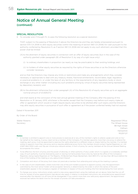# Notice of Annual General Meeting (continued)

### SPECIAL RESOLUTION:

6 To consider and, if thought fit, to pass the following resolution as a special resolution:

THAT, subject to the passing of Resolution 5 above the Directors be and they are hereby empowered pursuant to section 570 CA 2006 to allot equity securities (within the meaning of section 560 CA 2006) for cash pursuant to the authority conferred by Resolution 5, as if section 561 CA 2006 did not apply to any such allotment, provided that this power shall be limited:

- (A) to the allotment of equity securities in connection with an offer of equity securities (but in the case of the authority granted under paragraph (B) of Resolution 5, by way of a right issue only):
	- (i) to ordinary shareholders in proportion (as nearly as may be practicable) to their existing holdings; and
	- (ii) to holders of other equity securities as required by the rights of those securities or as the Directors otherwise consider necessary,

and so that the Directors may impose any limits or restrictions and make any arrangements which they consider necessary or appropriate to deal with any treasury shares, fractional entitlements, record dates, legal, regulatory or practical problems in, or under the laws of, any territory or the requirements of any regulatory body or stock exchange or any other matter (including any such problems arising by virtue of equity securities being represented by depositary receipts); and

(B) to the allotment (otherwise than under paragraph (A) of this Resolution 6) of equity securities up to an aggregate nominal amount of £3,929,072.

and shall expire at the conclusion of the next annual general meeting of the Company after the passing of this Resolution or 31 January 2013, whichever is the earlier, except that the Company may before such expiry make an offer or agreement which would or might require equity securities to be allotted after such expiry and the Directors may allot equity securities in pursuance of such offer or agreement as if the power conferred hereby had not expired.

Dated 4 November 2011

By Order of the Board

Walter Roberts **Registered Office:**  $\blacksquare$ Secretary **The Wheat House** 98 High Street odiham ay katalog as a shekarar ta 1999 a ta 1999 a ta 1999 a ta 1999 a ta 1999 a ta 1999 a ta 1999 a ta 1999 Hampshire RG29 1LP

### Notes:

- A member is entitled to appoint one or more proxies to exercise all or any of the member's rights to attend, speak and vote on his/ her behalf at the meeting. A proxy need not be a member of the Company. If a member appoints more than one proxy to attend the meeting, each proxy must be appointed to exercise the rights attached to a different share or shares held by the member. If a member wishes to appoint more than one proxy and so requires additional proxy forms, the member should contact Capital Registrars on +44 (0)871 664 0300 (calls cost 10p per minute plus network extras). A form of proxy for use by members at the Annual General Meeting accompanies this notice.
- 2 To be effective, the form of proxy and the power of attorney or other authority (if any) under which it is signed, or a notarially certified copy of such authority, must be received by post or (during normal business hours only) by hand at the office of the Company's Registrars, being Capita Registrars at The Registry, 34 Beckenham Road, Beckenham, Kent BR3 4TU, not less than 48 hours before the time of the holding of the meeting or any adjournment thereof.
- 3 Completion and return of the proxy form does not preclude a member from attending and voting at the meeting in person.
- 4 In the case of joint shareholders, where more than one of the joint holders purports to appoint a proxy, only the appointment submitted by the most senior holder will be accepted. Seniority is determined by the order in which the names of the joint shareholders appear in the Company's register of members in respect of the joint holding (the first-named being the most senior).
- 5 To change your proxy instructions simply submit a new proxy appointment using the methods set out above. Note that the cut-off time for receipt of proxy appointments (see above) also apply in relation to amended instructions; any amended proxy appointment received after the relevant cut-off time will be disregarded. If you submit more than one valid proxy appointment, the appointment received last before the latest time for the receipt of proxies will take precedence.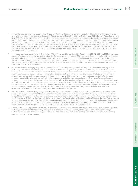- 6 In order to revoke a proxy instruction you will need to inform the Company by sending notice in writing clearly stating your intention to revoke your proxy appointment to Company's Registrars, being Capita Registrars at The Registry, 34 Beckenham Road, Beckenham Kent BR3 4TU. In the case of a member which is a company, the revocation notice must be executed under its common seal or signed on its behalf by an officer of the company or an attorney for the company. Any power of attorney or any other authority under which the revocation notice is signed (or a duly certified copy of such power or authority) must be included with the revocation notice. The revocation notice must be received by the Company no later than 48 hours before the time of the holding of the meeting or any adjournment thereof. If you attempt to revoke your proxy appointment but the revocation is received after the time specified then your proxy appointment will remain valid. If you have appointed a proxy and attend the meeting in person, your proxy appointment will automatically be terminated.
- In accordance with the permission in Regulation 41(1) of The Uncertificated Securities Regulations 2001 (SI 2001 No. 3755), only those holders of ordinary shares who are registered on the Company's share register at 1800 hours on 6 December 2011 shall be entitled to attend the above Annual General Meeting (or, in the case of an adjourned meeting, 1800 hours on the day which is two days before the adjourned meeting) and to vote in respect of the number of shares registered in their names at that time. Changes to entries on the share register after 1800 hours on 6 December 2011 shall be disregarded in determining the rights of any person to attend and/or vote at the Annual General Meeting.
- 8 In order to facilitate voting by corporate representatives at the meeting, arrangements will be put in place at the meeting so that (i) if a corporate shareholder has appointed the Chairman of the meeting as its corporate representative with instructions to vote on a poll in accordance with the directions of all of the other corporate representatives for that shareholder at the meeting, then on a poll those corporate representatives will give voting directions to the Chairman and the Chairman will vote (or withhold a vote) as corporate representative in accordance with those directions; and (ii) if more than one corporate representative for the same corporate shareholder attends the meeting but the corporate shareholder has not appointed the Chairman of the meeting as its corporate representative, a designated corporate representative will be nominated, from those corporate representatives who attend, who will vote on a poll and the other corporate representatives will give voting directions to that designated corporate representative. Corporate shareholders are referred to the guidance issued by the Institute of Chartered Secretaries and Administrators on proxies and corporate representatives (www.icsa.org.uk) for further details of this procedure. The guidance includes a sample form of representation letter if the Chairman is being appointed as described in (i) above.
- If the Chairman, as a result of any proxy appointments, is given discretion as to how the votes the subject of those proxies are cast and the voting rights in respect of those discretionary proxies, when added to the interests in the Company's securities already held by the Chairman, result in the Chairman holding such number of voting rights that he has a notifiable obligation under the Disclosure and Transparency Rules, the Chairman will make the necessary notifications to the Company and the Financial Services Authority. As a result, any member holding 3% or more of the voting rights in the Company who grants the Chairman a discretionary proxy in respect of some or all of those voting rights and so would otherwise have a notification obligation under the Disclosure and Transparency Rules, need not make a separate notification to the Company and the Financial Services Authority.
- 10 Copies of the service agreements and letters of appointment between the Company and its Directors will be available for inspection at the registered office of the Company during usual business hours on any weekday (Saturdays, Sundays and Bank Holidays excluded) until the date of the meeting and also on the date and at the place of the meeting from half an hour before the meeting until the conclusion of the meeting.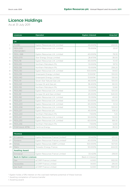# Licence Holdings

As at 31 July 2011

|                | <b>Licences</b>        | Operator                     | <b>Egdon Interest</b> | Area km <sup>2</sup> |
|----------------|------------------------|------------------------------|-----------------------|----------------------|
|                |                        |                              |                       |                      |
|                | <b>UK</b>              |                              |                       |                      |
| 1              | <b>PLO90</b>           | Egdon Resources U.K. Limited | 45.000%               | 202.00               |
| $\overline{2}$ | PEDLO05<br>(Remainder) | Egdon Resources U.K. Limited | 75.000%               | 23.57                |
| 3              | <b>PEDL 068</b>        | Egdon Resources U.K. Limited | 40.000%               | 78.30                |
| $\overline{4}$ | <b>PEDL070</b>         | Star Energy Group Limited    | 26.670%               | 36.00                |
| 5              | <b>PEDL118</b>         | Egdon Resources U.K. Limited | 65.000%               | 10.40                |
| 6              | PEDL125                | Northern Petroleum Plc       | 10.000%               | 197.10               |
| 7              | PEDL126                | Northern Petroleum Plc       | 10.000%               | 256.20               |
| 8              | PEDL130                | Egdon Resources U.K. Limited | 100.000%              | 94.60                |
| 9              | PEDL139                | Greenpark Energy Limited     | 13.500%*              | 100.00               |
| 10             | PEDL140                | Greenpark Energy Limited     | 13.500%*              | 130.00               |
| 11             | PEDL141                | Seven Star Natural Gas Ltd.  | 46.000%               | 100.00               |
| 12             | PEDL143                | Europa Oil and Gas plc       | 38.400%               | 80.00                |
| 13             | PEDL155                | Northern Petroleum Plc       | 10.000%               | 52.80                |
| 14             | PEDL180                | Egdon Resources U.K. Limited | 33.330%               | 100.00               |
| 15             | PEDL181                | Europa Oil and Gas Limited   | 25.000%               | 540.00               |
| 16             | PEDL182                | Egdon Resources U.K. Limited | 33.330%               | 40.00                |
| 17             | PEDL201                | Egdon Resources U.K. Limited | 50.000%               | 100.00               |
| 18             | PEDL203                | Egdon Resources U.K. Limited | 65.000%               | 10.54                |
| 19             | PEDL206                | Egdon Resources U.K. Limited | 75.000%               | 100.00               |
| 20             | <b>PFDI 237</b>        | Egdon Resources plc          | 45.000%               | 108.53               |
| 21             | PEDL240                | Northern Petroleum Plc       | 7.500%                | 7.20                 |
| 22             | PEDL241                | Egdon Resources U.K. Limited | 50.000%               | 110.00               |
| 23             | PEDL253                | Egdon Resources U.K. Limited | 60.000%               | 189.30               |
| 24             | PEDL256                | Northern Petroleum Plc       | 7.500%                | 52.80                |
| 25             | P.1241 block 47/9c     | Centrica Energy              | 10.000%               | 85.50                |

|    | <b>FRANCE</b>                  |                                             |                  |         |
|----|--------------------------------|---------------------------------------------|------------------|---------|
| 26 | St Laurent                     | Egdon Resources France Limited <sup>+</sup> | 33.423%          | 615.00  |
| 27 | Pontenx                        | Egdon Resources France Limited <sup>+</sup> | 40.000%          | 313.00  |
| 28 | <b>Nimes</b>                   | Egdon Resources (E&P) Limited               | 100.000%         | 507.00  |
| 29 | Mairy                          | <b>Toreador Energy France</b>               | 50.000%          | 444.00  |
|    | <b>Awaiting Award</b>          |                                             |                  |         |
|    | Donzacq!                       | Egdon Resources France Limited              | 33.423%          | 218.00  |
|    | <b>Back-in Option Licences</b> |                                             | Back-in interest |         |
|    | Gex                            | eCORP France Limited                        | 6.000            | 932.00  |
|    | Navacelles                     | eCORP France Limited                        | 9.000            | 216.00  |
|    | Gex Sud‡                       | eCORP France Limited                        | 6.000            | 1991.00 |

\* Egdon holds a 10% interest on the coal bed methane potential of these licences

† Awaiting completion of licence transfer

‡ Awaiting award